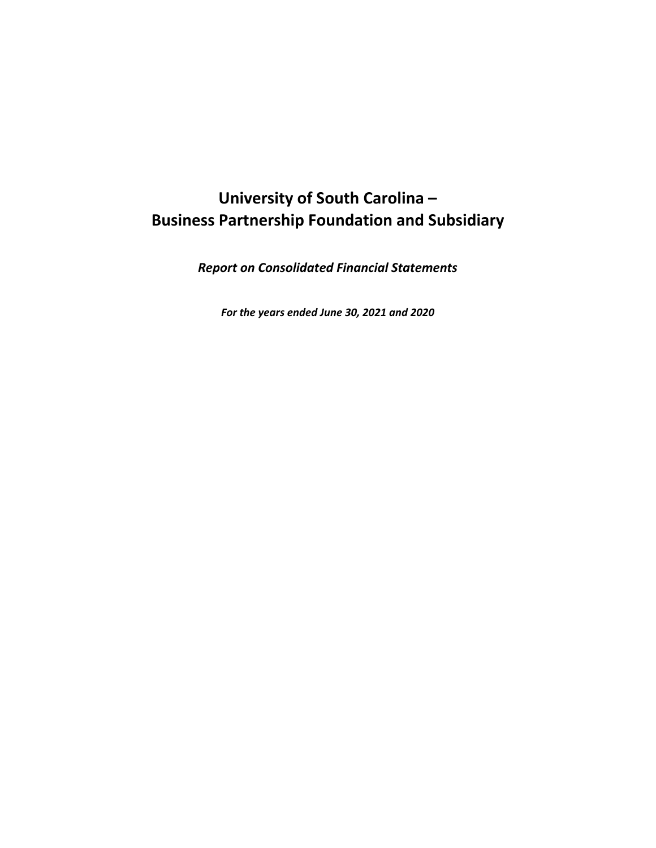# **University of South Carolina – Business Partnership Foundation and Subsidiary**

*Report on Consolidated Financial Statements*

*For the years ended June 30, 2021 and 2020*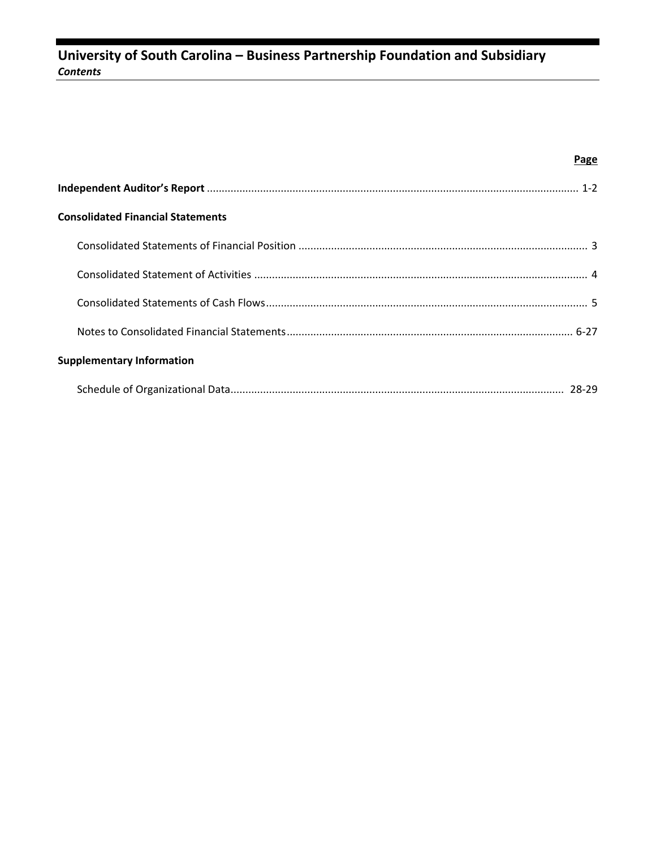## **University of South Carolina – Business Partnership Foundation and Subsidiary** *Contents*

|                                          | Page |  |  |  |  |
|------------------------------------------|------|--|--|--|--|
|                                          |      |  |  |  |  |
| <b>Consolidated Financial Statements</b> |      |  |  |  |  |
|                                          |      |  |  |  |  |
|                                          |      |  |  |  |  |
|                                          |      |  |  |  |  |
|                                          |      |  |  |  |  |
| <b>Supplementary Information</b>         |      |  |  |  |  |
|                                          |      |  |  |  |  |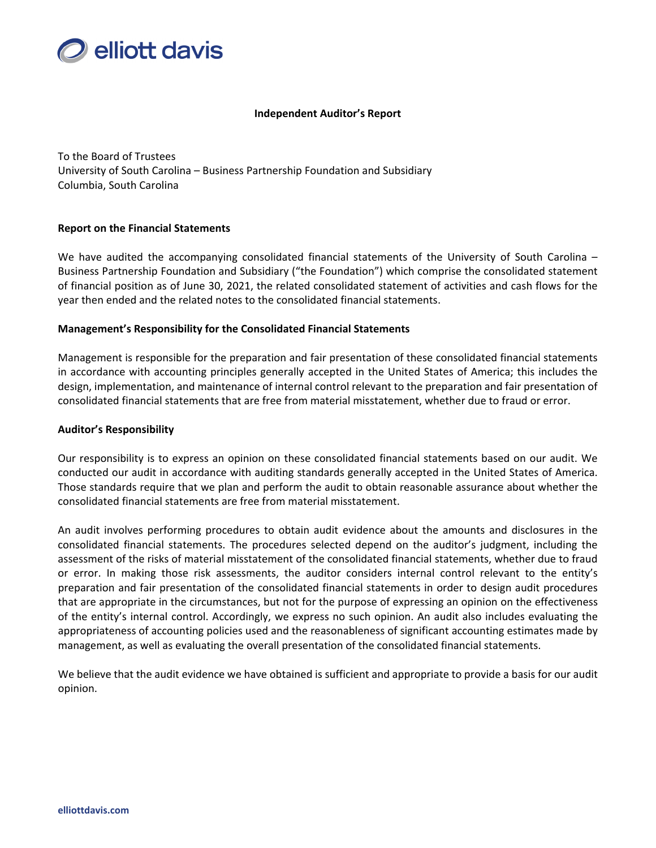<span id="page-2-0"></span>

#### **Independent Auditor's Report**

To the Board of Trustees University of South Carolina – Business Partnership Foundation and Subsidiary Columbia, South Carolina

#### **Report on the Financial Statements**

We have audited the accompanying consolidated financial statements of the University of South Carolina – Business Partnership Foundation and Subsidiary ("the Foundation") which comprise the consolidated statement of financial position as of June 30, 2021, the related consolidated statement of activities and cash flows for the year then ended and the related notes to the consolidated financial statements.

#### **Management's Responsibility for the Consolidated Financial Statements**

Management is responsible for the preparation and fair presentation of these consolidated financial statements in accordance with accounting principles generally accepted in the United States of America; this includes the design, implementation, and maintenance of internal control relevant to the preparation and fair presentation of consolidated financial statements that are free from material misstatement, whether due to fraud or error.

#### **Auditor's Responsibility**

Our responsibility is to express an opinion on these consolidated financial statements based on our audit. We conducted our audit in accordance with auditing standards generally accepted in the United States of America. Those standards require that we plan and perform the audit to obtain reasonable assurance about whether the consolidated financial statements are free from material misstatement.

An audit involves performing procedures to obtain audit evidence about the amounts and disclosures in the consolidated financial statements. The procedures selected depend on the auditor's judgment, including the assessment of the risks of material misstatement of the consolidated financial statements, whether due to fraud or error. In making those risk assessments, the auditor considers internal control relevant to the entity's preparation and fair presentation of the consolidated financial statements in order to design audit procedures that are appropriate in the circumstances, but not for the purpose of expressing an opinion on the effectiveness of the entity's internal control. Accordingly, we express no such opinion. An audit also includes evaluating the appropriateness of accounting policies used and the reasonableness of significant accounting estimates made by management, as well as evaluating the overall presentation of the consolidated financial statements.

We believe that the audit evidence we have obtained is sufficient and appropriate to provide a basis for our audit opinion.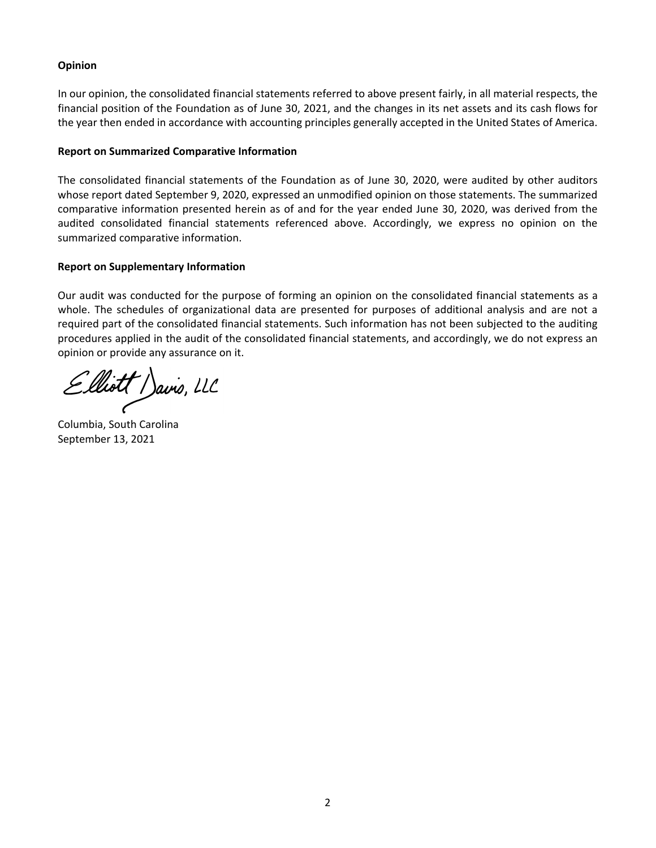#### **Opinion**

In our opinion, the consolidated financial statements referred to above present fairly, in all material respects, the financial position of the Foundation as of June 30, 2021, and the changes in its net assets and its cash flows for the year then ended in accordance with accounting principles generally accepted in the United States of America.

#### **Report on Summarized Comparative Information**

The consolidated financial statements of the Foundation as of June 30, 2020, were audited by other auditors whose report dated September 9, 2020, expressed an unmodified opinion on those statements. The summarized comparative information presented herein as of and for the year ended June 30, 2020, was derived from the audited consolidated financial statements referenced above. Accordingly, we express no opinion on the summarized comparative information.

#### **Report on Supplementary Information**

Our audit was conducted for the purpose of forming an opinion on the consolidated financial statements as a whole. The schedules of organizational data are presented for purposes of additional analysis and are not a required part of the consolidated financial statements. Such information has not been subjected to the auditing procedures applied in the audit of the consolidated financial statements, and accordingly, we do not express an opinion or provide any assurance on it.

Elliott Davis, LLC

Columbia, South Carolina September 13, 2021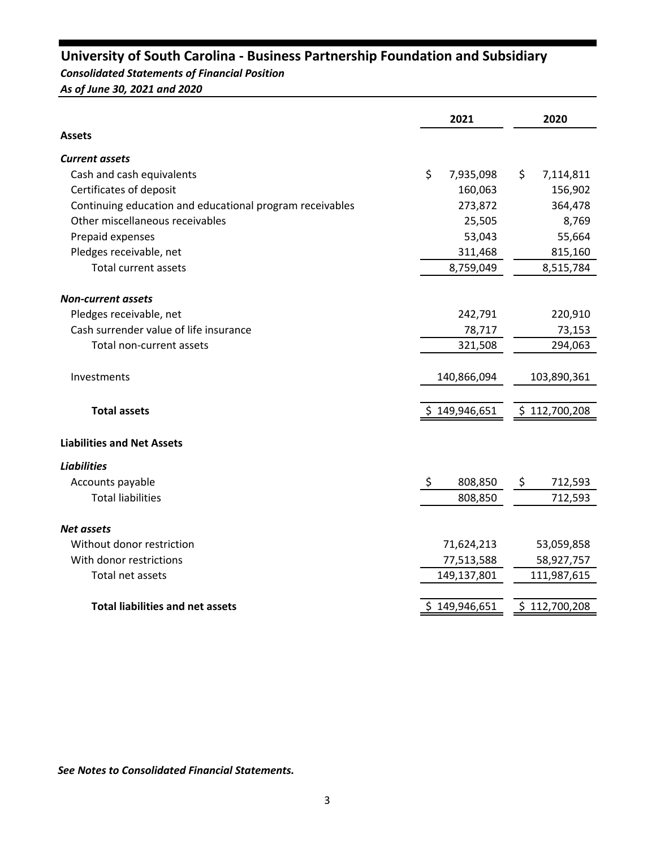# <span id="page-4-0"></span> **University of South Carolina ‐ Business Partnership Foundation and Subsidiary**

*Consolidated Statements of Financial Position*

 *As of June 30, 2021 and 2020*

|                                                          | 2021            | 2020            |
|----------------------------------------------------------|-----------------|-----------------|
| <b>Assets</b>                                            |                 |                 |
| <b>Current assets</b>                                    |                 |                 |
| Cash and cash equivalents                                | \$<br>7,935,098 | \$<br>7,114,811 |
| Certificates of deposit                                  | 160,063         | 156,902         |
| Continuing education and educational program receivables | 273,872         | 364,478         |
| Other miscellaneous receivables                          | 25,505          | 8,769           |
| Prepaid expenses                                         | 53,043          | 55,664          |
| Pledges receivable, net                                  | 311,468         | 815,160         |
| <b>Total current assets</b>                              | 8,759,049       | 8,515,784       |
| <b>Non-current assets</b>                                |                 |                 |
| Pledges receivable, net                                  | 242,791         | 220,910         |
| Cash surrender value of life insurance                   | 78,717          | 73,153          |
| Total non-current assets                                 | 321,508         | 294,063         |
| Investments                                              | 140,866,094     | 103,890,361     |
| <b>Total assets</b>                                      | \$149,946,651   | \$112,700,208   |
| <b>Liabilities and Net Assets</b>                        |                 |                 |
| <b>Liabilities</b>                                       |                 |                 |
| Accounts payable                                         | \$<br>808,850   | \$<br>712,593   |
| <b>Total liabilities</b>                                 | 808,850         | 712,593         |
| <b>Net assets</b>                                        |                 |                 |
| Without donor restriction                                | 71,624,213      | 53,059,858      |
| With donor restrictions                                  | 77,513,588      | 58,927,757      |
| Total net assets                                         | 149,137,801     | 111,987,615     |
|                                                          |                 |                 |
| <b>Total liabilities and net assets</b>                  | \$149,946,651   | \$112,700,208   |

 *See Notes to Consolidated Financial Statements.*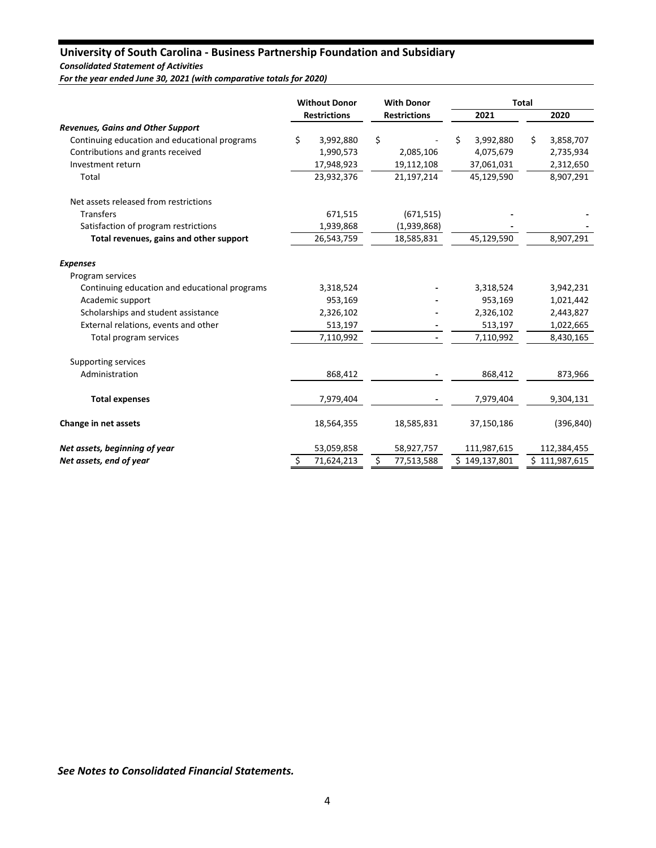#### <span id="page-5-0"></span> **University of South Carolina ‐ Business Partnership Foundation and Subsidiary**

*Consolidated Statement of Activities*

 *For the year ended June 30, 2021 (with comparative totals for 2020)*

|                                               | <b>Without Donor</b> |                     | <b>With Donor</b>   |    | <b>Total</b>  |    |               |
|-----------------------------------------------|----------------------|---------------------|---------------------|----|---------------|----|---------------|
|                                               |                      | <b>Restrictions</b> | <b>Restrictions</b> |    | 2021          |    | 2020          |
| <b>Revenues, Gains and Other Support</b>      |                      |                     |                     |    |               |    |               |
| Continuing education and educational programs | \$                   | 3,992,880           | \$                  | \$ | 3,992,880     | \$ | 3,858,707     |
| Contributions and grants received             |                      | 1,990,573           | 2,085,106           |    | 4,075,679     |    | 2,735,934     |
| Investment return                             |                      | 17,948,923          | 19,112,108          |    | 37,061,031    |    | 2,312,650     |
| Total                                         |                      | 23,932,376          | 21,197,214          |    | 45,129,590    |    | 8,907,291     |
| Net assets released from restrictions         |                      |                     |                     |    |               |    |               |
| <b>Transfers</b>                              |                      | 671,515             | (671, 515)          |    |               |    |               |
| Satisfaction of program restrictions          |                      | 1,939,868           | (1,939,868)         |    |               |    |               |
| Total revenues, gains and other support       |                      | 26,543,759          | 18,585,831          |    | 45,129,590    |    | 8,907,291     |
| <b>Expenses</b>                               |                      |                     |                     |    |               |    |               |
| Program services                              |                      |                     |                     |    |               |    |               |
| Continuing education and educational programs |                      | 3,318,524           |                     |    | 3,318,524     |    | 3,942,231     |
| Academic support                              |                      | 953,169             |                     |    | 953,169       |    | 1,021,442     |
| Scholarships and student assistance           |                      | 2,326,102           |                     |    | 2,326,102     |    | 2,443,827     |
| External relations, events and other          |                      | 513,197             |                     |    | 513,197       |    | 1,022,665     |
| Total program services                        |                      | 7,110,992           |                     |    | 7,110,992     |    | 8,430,165     |
| Supporting services                           |                      |                     |                     |    |               |    |               |
| Administration                                |                      | 868,412             |                     |    | 868,412       |    | 873,966       |
| <b>Total expenses</b>                         |                      | 7,979,404           |                     |    | 7,979,404     |    | 9,304,131     |
| Change in net assets                          |                      | 18,564,355          | 18,585,831          |    | 37,150,186    |    | (396, 840)    |
| Net assets, beginning of year                 |                      | 53,059,858          | 58,927,757          |    | 111,987,615   |    | 112,384,455   |
| Net assets, end of year                       | \$                   | 71,624,213          | \$<br>77,513,588    |    | \$149,137,801 |    | \$111,987,615 |

 *See Notes to Consolidated Financial Statements.*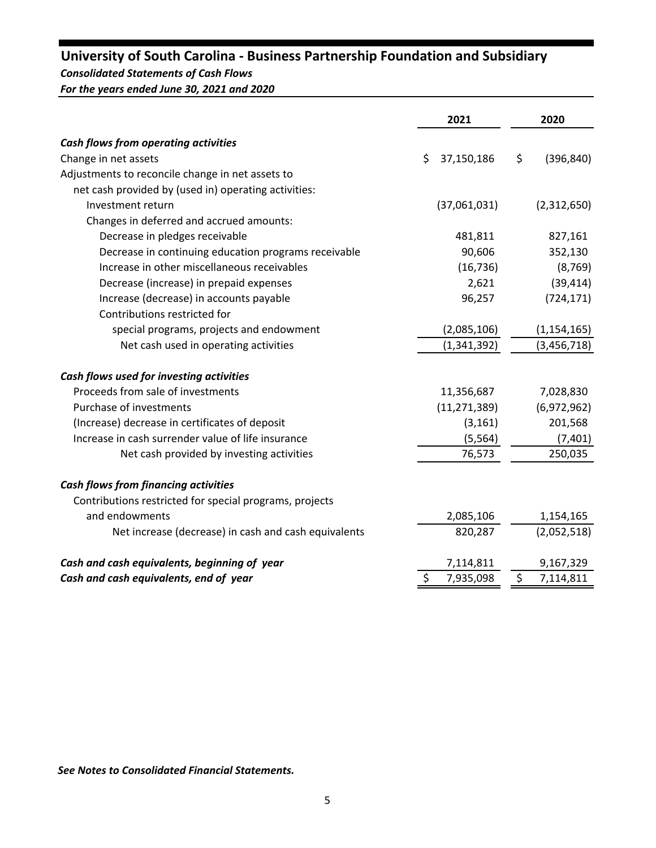## <span id="page-6-0"></span> **University of South Carolina ‐ Business Partnership Foundation and Subsidiary**

*Consolidated Statements of Cash Flows*

*For the years ended June 30, 2021 and 2020*

|                                                         | 2021             | 2020             |
|---------------------------------------------------------|------------------|------------------|
| Cash flows from operating activities                    |                  |                  |
| Change in net assets                                    | 37,150,186<br>\$ | \$<br>(396, 840) |
| Adjustments to reconcile change in net assets to        |                  |                  |
| net cash provided by (used in) operating activities:    |                  |                  |
| Investment return                                       | (37,061,031)     | (2,312,650)      |
| Changes in deferred and accrued amounts:                |                  |                  |
| Decrease in pledges receivable                          | 481,811          | 827,161          |
| Decrease in continuing education programs receivable    | 90,606           | 352,130          |
| Increase in other miscellaneous receivables             | (16, 736)        | (8, 769)         |
| Decrease (increase) in prepaid expenses                 | 2,621            | (39, 414)        |
| Increase (decrease) in accounts payable                 | 96,257           | (724, 171)       |
| Contributions restricted for                            |                  |                  |
| special programs, projects and endowment                | (2,085,106)      | (1, 154, 165)    |
| Net cash used in operating activities                   | (1, 341, 392)    | (3,456,718)      |
| Cash flows used for investing activities                |                  |                  |
| Proceeds from sale of investments                       | 11,356,687       | 7,028,830        |
| Purchase of investments                                 | (11, 271, 389)   | (6,972,962)      |
| (Increase) decrease in certificates of deposit          | (3, 161)         | 201,568          |
| Increase in cash surrender value of life insurance      | (5, 564)         | (7,401)          |
| Net cash provided by investing activities               | 76,573           | 250,035          |
| <b>Cash flows from financing activities</b>             |                  |                  |
| Contributions restricted for special programs, projects |                  |                  |
| and endowments                                          | 2,085,106        | 1,154,165        |
| Net increase (decrease) in cash and cash equivalents    | 820,287          | (2,052,518)      |
| Cash and cash equivalents, beginning of year            | 7,114,811        | 9,167,329        |
| Cash and cash equivalents, end of year                  | 7,935,098        | \$<br>7,114,811  |

 *See Notes to Consolidated Financial Statements.*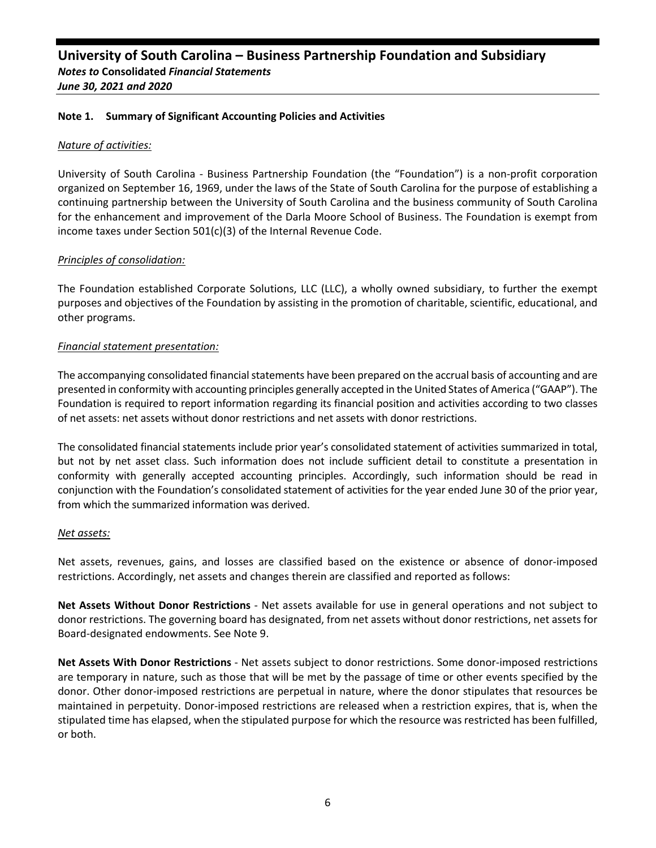<span id="page-7-0"></span>*June 30, 2021 and 2020*

#### **Note 1. Summary of Significant Accounting Policies and Activities**

#### *Nature of activities:*

 University of South Carolina ‐ Business Partnership Foundation (the "Foundation") is a non‐profit corporation organized on September 16, 1969, under the laws of the State of South Carolina for the purpose of establishing a continuing partnership between the University of South Carolina and the business community of South Carolina for the enhancement and improvement of the Darla Moore School of Business. The Foundation is exempt from income taxes under Section 501(c)(3) of the Internal Revenue Code.

#### *Principles of consolidation:*

 The Foundation established Corporate Solutions, LLC (LLC), a wholly owned subsidiary, to further the exempt purposes and objectives of the Foundation by assisting in the promotion of charitable, scientific, educational, and other programs.

#### *Financial statement presentation:*

The accompanying consolidated financial statements have been prepared on the accrual basis of accounting and are presented in conformity with accounting principles generally accepted in the United States of America ("GAAP"). The Foundation is required to report information regarding its financial position and activities according to two classes of net assets: net assets without donor restrictions and net assets with donor restrictions.

 The consolidated financial statements include prior year's consolidated statement of activities summarized in total, but not by net asset class. Such information does not include sufficient detail to constitute a presentation in conformity with generally accepted accounting principles. Accordingly, such information should be read in conjunction with the Foundation's consolidated statement of activities for the year ended June 30 of the prior year, from which the summarized information was derived.

#### *Net assets:*

 Net assets, revenues, gains, and losses are classified based on the existence or absence of donor‐imposed restrictions. Accordingly, net assets and changes therein are classified and reported as follows:

 **Net Assets Without Donor Restrictions** ‐ Net assets available for use in general operations and not subject to donor restrictions. The governing board has designated, from net assets without donor restrictions, net assets for Board‐designated endowments. See Note 9.

 **Net Assets With Donor Restrictions** ‐ Net assets subject to donor restrictions. Some donor‐imposed restrictions are temporary in nature, such as those that will be met by the passage of time or other events specified by the donor. Other donor‐imposed restrictions are perpetual in nature, where the donor stipulates that resources be maintained in perpetuity. Donor‐imposed restrictions are released when a restriction expires, that is, when the stipulated time has elapsed, when the stipulated purpose for which the resource was restricted has been fulfilled, or both.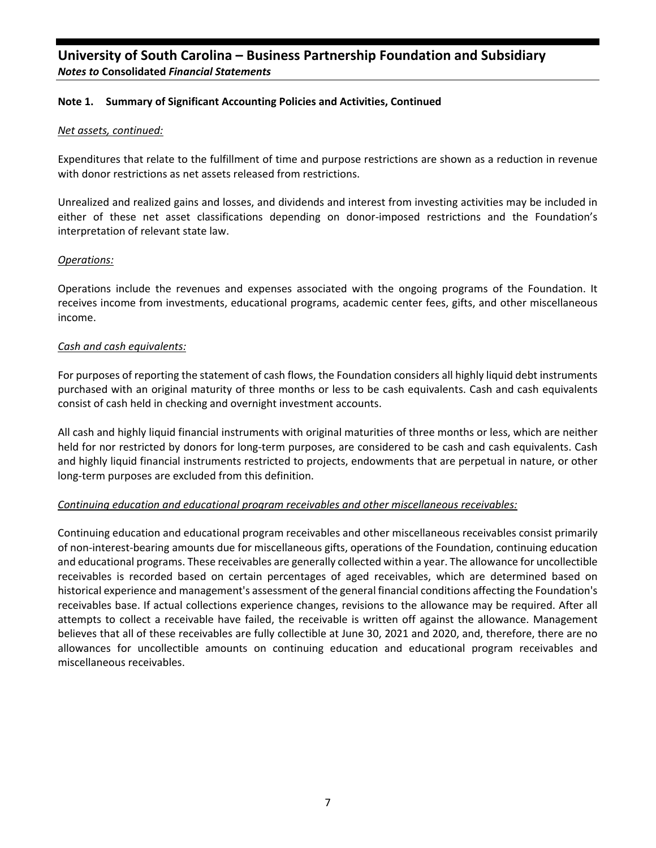#### **Note 1. Summary of Significant Accounting Policies and Activities, Continued**

#### *Net assets, continued:*

 Expenditures that relate to the fulfillment of time and purpose restrictions are shown as a reduction in revenue with donor restrictions as net assets released from restrictions.

 Unrealized and realized gains and losses, and dividends and interest from investing activities may be included in either of these net asset classifications depending on donor-imposed restrictions and the Foundation's interpretation of relevant state law.

#### *Operations:*

 Operations include the revenues and expenses associated with the ongoing programs of the Foundation. It receives income from investments, educational programs, academic center fees, gifts, and other miscellaneous income.

#### *Cash and cash equivalents:*

 For purposes of reporting the statement of cash flows, the Foundation considers all highly liquid debt instruments purchased with an original maturity of three months or less to be cash equivalents. Cash and cash equivalents consist of cash held in checking and overnight investment accounts.

 All cash and highly liquid financial instruments with original maturities of three months or less, which are neither held for nor restricted by donors for long‐term purposes, are considered to be cash and cash equivalents. Cash and highly liquid financial instruments restricted to projects, endowments that are perpetual in nature, or other long‐term purposes are excluded from this definition.

#### *Continuing education and educational program receivables and other miscellaneous receivables:*

 Continuing education and educational program receivables and other miscellaneous receivables consist primarily of non‐interest‐bearing amounts due for miscellaneous gifts, operations of the Foundation, continuing education and educational programs. These receivables are generally collected within a year. The allowance for uncollectible receivables is recorded based on certain percentages of aged receivables, which are determined based on historical experience and management's assessment of the general financial conditions affecting the Foundation's receivables base. If actual collections experience changes, revisions to the allowance may be required. After all attempts to collect a receivable have failed, the receivable is written off against the allowance. Management believes that all of these receivables are fully collectible at June 30, 2021 and 2020, and, therefore, there are no allowances for uncollectible amounts on continuing education and educational program receivables and miscellaneous receivables.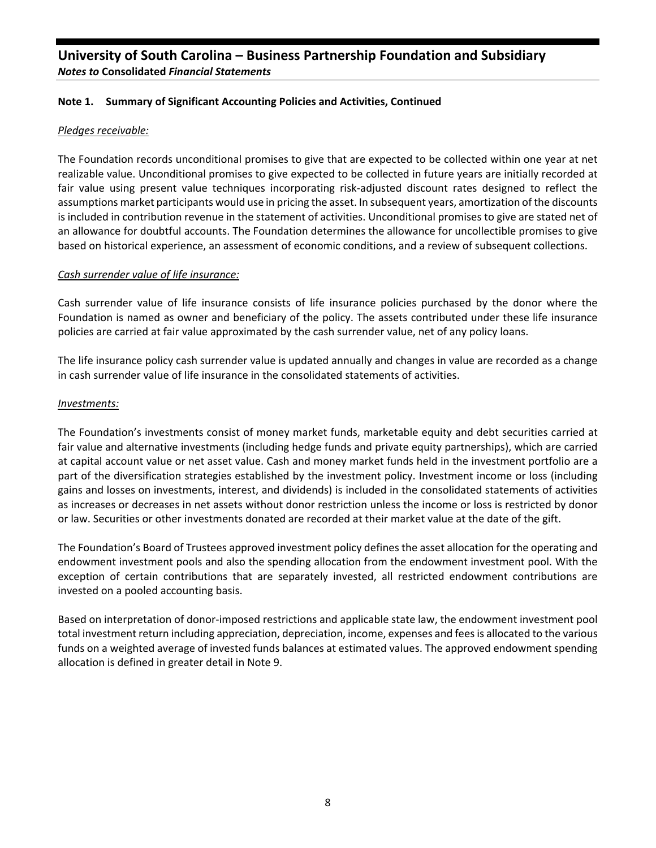#### **Note 1. Summary of Significant Accounting Policies and Activities, Continued**

#### *Pledges receivable:*

 The Foundation records unconditional promises to give that are expected to be collected within one year at net realizable value. Unconditional promises to give expected to be collected in future years are initially recorded at fair value using present value techniques incorporating risk‐adjusted discount rates designed to reflect the assumptions market participants would use in pricing the asset. In subsequent years, amortization of the discounts is included in contribution revenue in the statement of activities. Unconditional promises to give are stated net of an allowance for doubtful accounts. The Foundation determines the allowance for uncollectible promises to give based on historical experience, an assessment of economic conditions, and a review of subsequent collections.

#### *Cash surrender value of life insurance:*

 Cash surrender value of life insurance consists of life insurance policies purchased by the donor where the Foundation is named as owner and beneficiary of the policy. The assets contributed under these life insurance policies are carried at fair value approximated by the cash surrender value, net of any policy loans.

 The life insurance policy cash surrender value is updated annually and changes in value are recorded as a change in cash surrender value of life insurance in the consolidated statements of activities.

#### *Investments:*

 The Foundation's investments consist of money market funds, marketable equity and debt securities carried at fair value and alternative investments (including hedge funds and private equity partnerships), which are carried at capital account value or net asset value. Cash and money market funds held in the investment portfolio are a part of the diversification strategies established by the investment policy. Investment income or loss (including gains and losses on investments, interest, and dividends) is included in the consolidated statements of activities as increases or decreases in net assets without donor restriction unless the income or loss is restricted by donor or law. Securities or other investments donated are recorded at their market value at the date of the gift.

 The Foundation's Board of Trustees approved investment policy defines the asset allocation for the operating and endowment investment pools and also the spending allocation from the endowment investment pool. With the exception of certain contributions that are separately invested, all restricted endowment contributions are invested on a pooled accounting basis.

 Based on interpretation of donor‐imposed restrictions and applicable state law, the endowment investment pool total investment return including appreciation, depreciation, income, expenses and fees is allocated to the various funds on a weighted average of invested funds balances at estimated values. The approved endowment spending allocation is defined in greater detail in Note 9.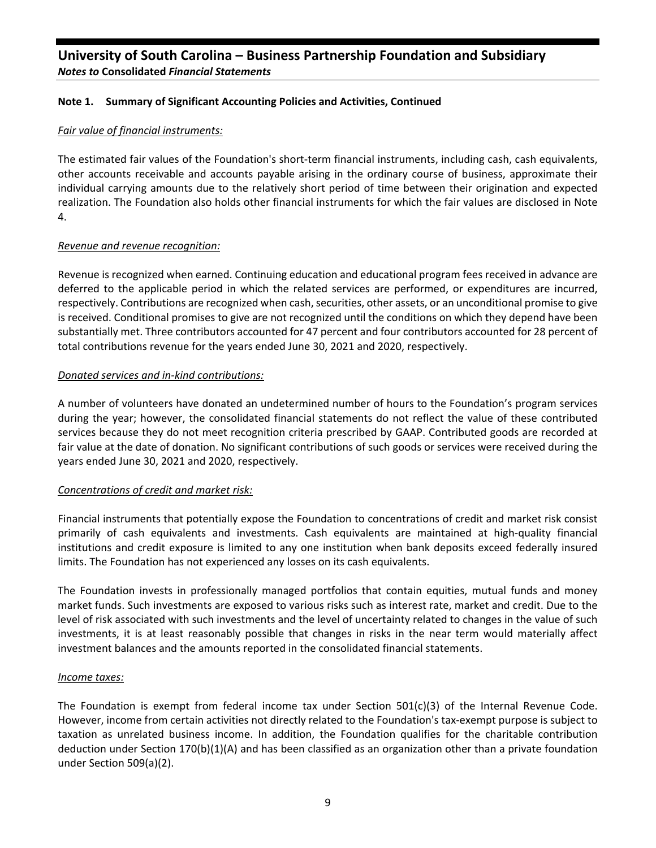#### **Note 1. Summary of Significant Accounting Policies and Activities, Continued**

#### *Fair value of financial instruments:*

 The estimated fair values of the Foundation's short‐term financial instruments, including cash, cash equivalents, other accounts receivable and accounts payable arising in the ordinary course of business, approximate their individual carrying amounts due to the relatively short period of time between their origination and expected realization. The Foundation also holds other financial instruments for which the fair values are disclosed in Note 4.

#### *Revenue and revenue recognition:*

 Revenue is recognized when earned. Continuing education and educational program fees received in advance are deferred to the applicable period in which the related services are performed, or expenditures are incurred, respectively. Contributions are recognized when cash, securities, other assets, or an unconditional promise to give is received. Conditional promises to give are not recognized until the conditions on which they depend have been substantially met. Three contributors accounted for 47 percent and four contributors accounted for 28 percent of total contributions revenue for the years ended June 30, 2021 and 2020, respectively.

#### *Donated services and in‐kind contributions:*

 A number of volunteers have donated an undetermined number of hours to the Foundation's program services during the year; however, the consolidated financial statements do not reflect the value of these contributed services because they do not meet recognition criteria prescribed by GAAP. Contributed goods are recorded at fair value at the date of donation. No significant contributions of such goods or services were received during the years ended June 30, 2021 and 2020, respectively.

#### *Concentrations of credit and market risk:*

 Financial instruments that potentially expose the Foundation to concentrations of credit and market risk consist primarily of cash equivalents and investments. Cash equivalents are maintained at high‐quality financial institutions and credit exposure is limited to any one institution when bank deposits exceed federally insured limits. The Foundation has not experienced any losses on its cash equivalents.

 The Foundation invests in professionally managed portfolios that contain equities, mutual funds and money market funds. Such investments are exposed to various risks such as interest rate, market and credit. Due to the level of risk associated with such investments and the level of uncertainty related to changes in the value of such investments, it is at least reasonably possible that changes in risks in the near term would materially affect investment balances and the amounts reported in the consolidated financial statements.

#### *Income taxes:*

 The Foundation is exempt from federal income tax under Section 501(c)(3) of the Internal Revenue Code. However, income from certain activities not directly related to the Foundation's tax‐exempt purpose is subject to taxation as unrelated business income. In addition, the Foundation qualifies for the charitable contribution deduction under Section 170(b)(1)(A) and has been classified as an organization other than a private foundation under Section 509(a)(2).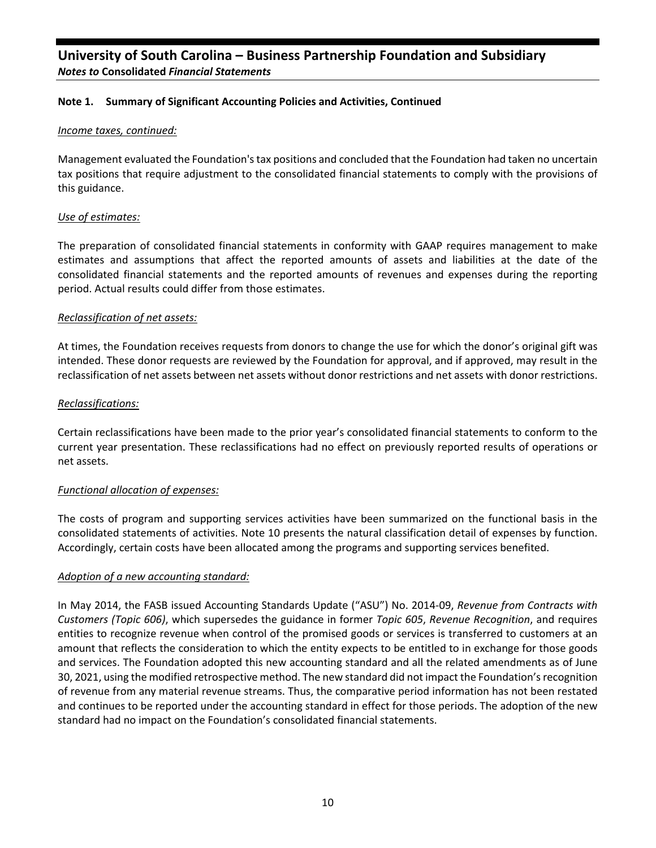#### **Note 1. Summary of Significant Accounting Policies and Activities, Continued**

#### *Income taxes, continued:*

 Management evaluated the Foundation'stax positions and concluded that the Foundation had taken no uncertain tax positions that require adjustment to the consolidated financial statements to comply with the provisions of this guidance.

#### *Use of estimates:*

 The preparation of consolidated financial statements in conformity with GAAP requires management to make estimates and assumptions that affect the reported amounts of assets and liabilities at the date of the consolidated financial statements and the reported amounts of revenues and expenses during the reporting period. Actual results could differ from those estimates.

#### *Reclassification of net assets:*

 At times, the Foundation receives requests from donors to change the use for which the donor's original gift was intended. These donor requests are reviewed by the Foundation for approval, and if approved, may result in the reclassification of net assets between net assets without donor restrictions and net assets with donor restrictions.

#### *Reclassifications:*

 Certain reclassifications have been made to the prior year's consolidated financial statements to conform to the current year presentation. These reclassifications had no effect on previously reported results of operations or net assets.

#### *Functional allocation of expenses:*

 The costs of program and supporting services activities have been summarized on the functional basis in the consolidated statements of activities. Note 10 presents the natural classification detail of expenses by function. Accordingly, certain costs have been allocated among the programs and supporting services benefited.

#### *Adoption of a new accounting standard:*

  In May 2014, the FASB issued Accounting Standards Update ("ASU") No. 2014‐09, *Revenue from Contracts with Customers (Topic 606)*, which supersedes the guidance in former *Topic 605*, *Revenue Recognition*, and requires entities to recognize revenue when control of the promised goods or services is transferred to customers at an amount that reflects the consideration to which the entity expects to be entitled to in exchange for those goods and services. The Foundation adopted this new accounting standard and all the related amendments as of June 30, 2021, using the modified retrospective method. The new standard did not impact the Foundation'srecognition of revenue from any material revenue streams. Thus, the comparative period information has not been restated and continues to be reported under the accounting standard in effect for those periods. The adoption of the new standard had no impact on the Foundation's consolidated financial statements.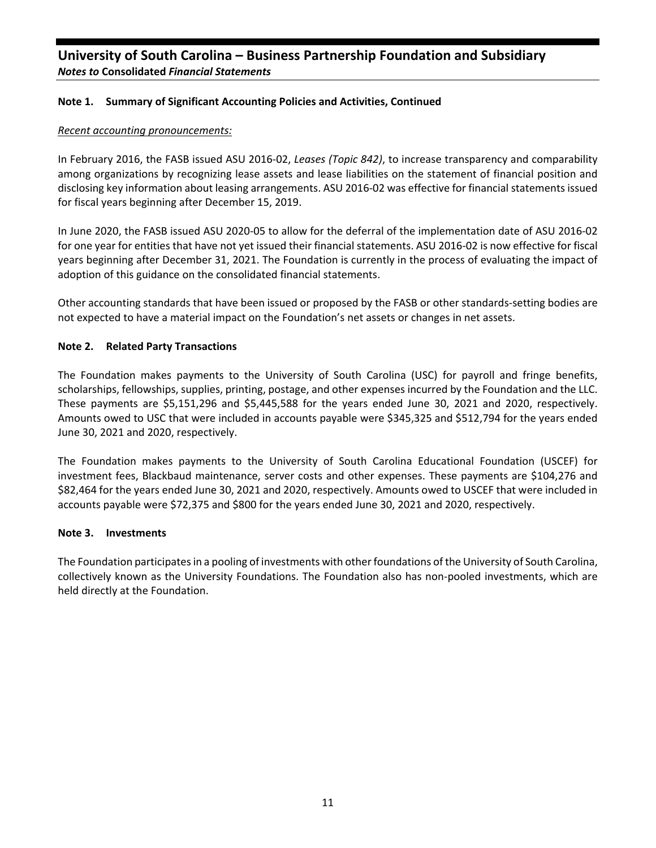#### **Note 1. Summary of Significant Accounting Policies and Activities, Continued**

#### *Recent accounting pronouncements:*

  In February 2016, the FASB issued ASU 2016‐02, *Leases (Topic 842)*, to increase transparency and comparability among organizations by recognizing lease assets and lease liabilities on the statement of financial position and disclosing key information about leasing arrangements. ASU 2016‐02 was effective for financial statements issued for fiscal years beginning after December 15, 2019.

 In June 2020, the FASB issued ASU 2020‐05 to allow for the deferral of the implementation date of ASU 2016‐02 for one year for entities that have not yet issued their financial statements. ASU 2016‐02 is now effective for fiscal years beginning after December 31, 2021. The Foundation is currently in the process of evaluating the impact of adoption of this guidance on the consolidated financial statements.

 Other accounting standards that have been issued or proposed by the FASB or other standards‐setting bodies are not expected to have a material impact on the Foundation's net assets or changes in net assets.

#### **Note 2. Related Party Transactions**

 The Foundation makes payments to the University of South Carolina (USC) for payroll and fringe benefits, scholarships, fellowships, supplies, printing, postage, and other expenses incurred by the Foundation and the LLC. These payments are \$5,151,296 and \$5,445,588 for the years ended June 30, 2021 and 2020, respectively. Amounts owed to USC that were included in accounts payable were \$345,325 and \$512,794 for the years ended June 30, 2021 and 2020, respectively.

 The Foundation makes payments to the University of South Carolina Educational Foundation (USCEF) for investment fees, Blackbaud maintenance, server costs and other expenses. These payments are \$104,276 and \$82,464 for the years ended June 30, 2021 and 2020, respectively. Amounts owed to USCEF that were included in accounts payable were \$72,375 and \$800 for the years ended June 30, 2021 and 2020, respectively.

#### **Note 3. Investments**

The Foundation participates in a pooling of investments with other foundations of the University of South Carolina, collectively known as the University Foundations. The Foundation also has non‐pooled investments, which are held directly at the Foundation.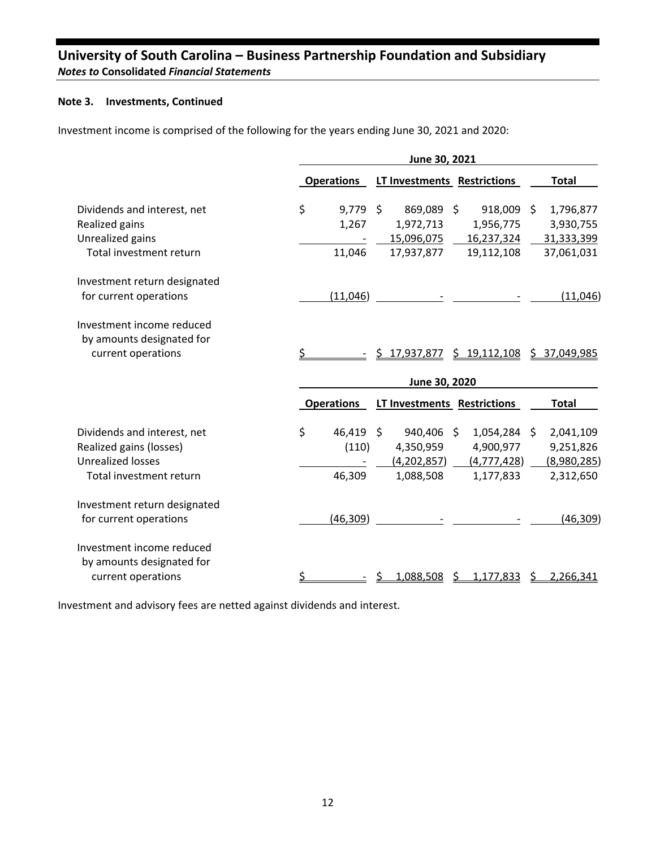#### **Note 3. Investments, Continued**

Investment income is comprised of the following for the years ending June 30, 2021 and 2020:

|                                                        |           | June 30, 2021     |     |                                    |    |               |    |               |
|--------------------------------------------------------|-----------|-------------------|-----|------------------------------------|----|---------------|----|---------------|
|                                                        |           | <b>Operations</b> |     | <b>LT Investments Restrictions</b> |    |               |    | <b>Total</b>  |
| Dividends and interest, net                            | \$        | 9,779             | -\$ | 869,089                            | \$ | 918,009       | \$ | 1,796,877     |
| Realized gains                                         |           | 1,267             |     | 1,972,713                          |    | 1,956,775     |    | 3,930,755     |
| Unrealized gains                                       |           |                   |     | 15,096,075                         |    | 16,237,324    |    | 31,333,399    |
| Total investment return                                |           | 11,046            |     | 17,937,877                         |    | 19,112,108    |    | 37,061,031    |
| Investment return designated                           |           |                   |     |                                    |    |               |    |               |
| for current operations                                 |           | (11,046)          |     |                                    |    |               |    | (11, 046)     |
| Investment income reduced<br>by amounts designated for |           |                   |     |                                    |    |               |    |               |
| current operations                                     | <u>\$</u> |                   | S.  | 17,937,877                         |    | \$19,112,108  |    | \$ 37,049,985 |
|                                                        |           |                   |     | June 30, 2020                      |    |               |    |               |
|                                                        |           | <b>Operations</b> |     | <b>LT Investments Restrictions</b> |    |               |    | <b>Total</b>  |
| Dividends and interest, net                            | \$        | 46,419 \$         |     | 940,406                            | \$ | 1,054,284     | \$ | 2,041,109     |
| Realized gains (losses)                                |           | (110)             |     | 4,350,959                          |    | 4,900,977     |    | 9,251,826     |
| <b>Unrealized losses</b>                               |           |                   |     | (4, 202, 857)                      |    | (4, 777, 428) |    | (8,980,285)   |
| Total investment return                                |           | 46,309            |     | 1,088,508                          |    | 1,177,833     |    | 2,312,650     |
| Investment return designated                           |           |                   |     |                                    |    |               |    |               |
| for current operations                                 |           | (46, 309)         |     |                                    |    |               |    | (46, 309)     |
| Investment income reduced<br>by amounts designated for |           |                   |     |                                    |    |               |    |               |
| current operations                                     | \$        |                   |     | 1,088,508                          | \$ | 1,177,833     | \$ | 2,266,341     |
|                                                        |           |                   |     |                                    |    |               |    |               |

Investment and advisory fees are netted against dividends and interest.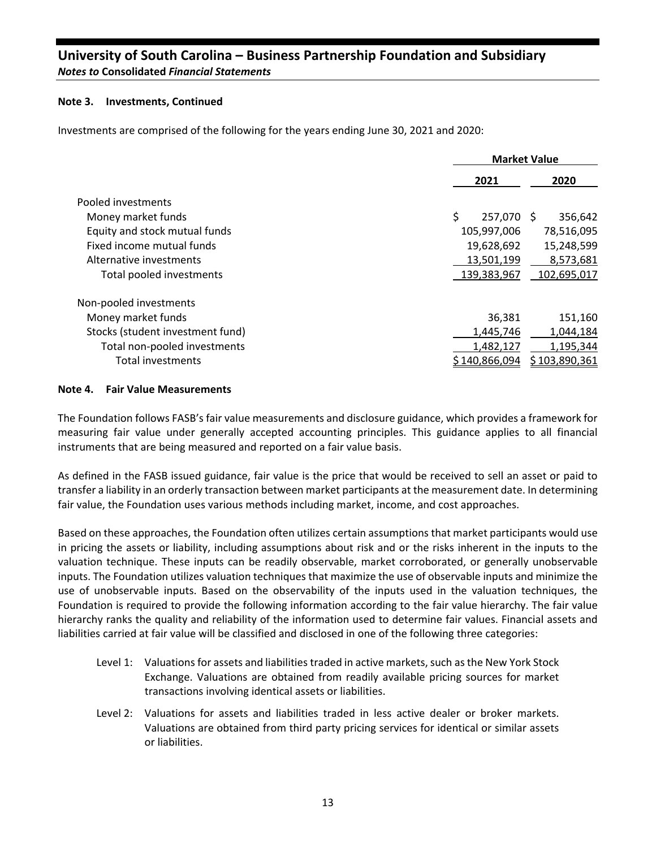#### **Note 3. Investments, Continued**

Investments are comprised of the following for the years ending June 30, 2021 and 2020:

| <b>Market Value</b> |           |                                                                                 |               |
|---------------------|-----------|---------------------------------------------------------------------------------|---------------|
|                     | 2021      |                                                                                 | 2020          |
|                     |           |                                                                                 |               |
| \$                  |           |                                                                                 | 356,642       |
|                     |           |                                                                                 | 78,516,095    |
|                     |           |                                                                                 | 15,248,599    |
|                     |           |                                                                                 | 8,573,681     |
|                     |           |                                                                                 | 102,695,017   |
|                     |           |                                                                                 |               |
|                     | 36,381    |                                                                                 | 151,160       |
|                     | 1,445,746 |                                                                                 | 1,044,184     |
|                     | 1,482,127 |                                                                                 | 1,195,344     |
|                     |           |                                                                                 | \$103,890,361 |
|                     |           | 105,997,006<br>19,628,692<br>13,501,199<br>139,383,967<br><u>\$ 140,866,094</u> | 257,070 \$    |

#### **Note 4. Fair Value Measurements**

The Foundation follows FASB's fair value measurements and disclosure guidance, which provides a framework for measuring fair value under generally accepted accounting principles. This guidance applies to all financial instruments that are being measured and reported on a fair value basis.

As defined in the FASB issued guidance, fair value is the price that would be received to sell an asset or paid to transfer a liability in an orderly transaction between market participants at the measurement date. In determining fair value, the Foundation uses various methods including market, income, and cost approaches.

Based on these approaches, the Foundation often utilizes certain assumptions that market participants would use in pricing the assets or liability, including assumptions about risk and or the risks inherent in the inputs to the valuation technique. These inputs can be readily observable, market corroborated, or generally unobservable inputs. The Foundation utilizes valuation techniques that maximize the use of observable inputs and minimize the use of unobservable inputs. Based on the observability of the inputs used in the valuation techniques, the Foundation is required to provide the following information according to the fair value hierarchy. The fair value hierarchy ranks the quality and reliability of the information used to determine fair values. Financial assets and liabilities carried at fair value will be classified and disclosed in one of the following three categories:

- Level 1: Valuations for assets and liabilities traded in active markets, such as the New York Stock Exchange. Valuations are obtained from readily available pricing sources for market transactions involving identical assets or liabilities.
- Level 2: Valuations for assets and liabilities traded in less active dealer or broker markets. Valuations are obtained from third party pricing services for identical or similar assets or liabilities.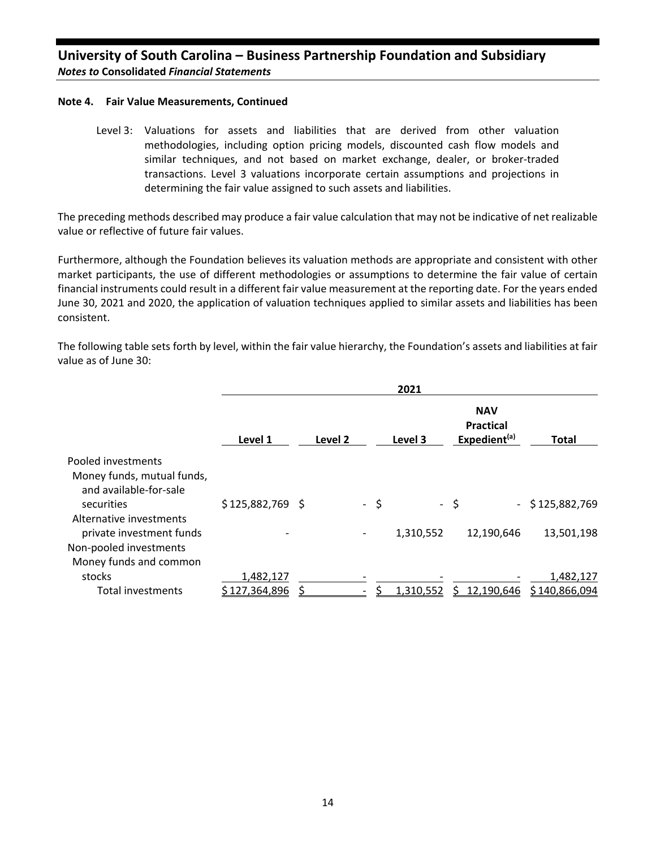#### **Note 4. Fair Value Measurements, Continued**

 Level 3: Valuations for assets and liabilities that are derived from other valuation methodologies, including option pricing models, discounted cash flow models and similar techniques, and not based on market exchange, dealer, or broker‐traded transactions. Level 3 valuations incorporate certain assumptions and projections in determining the fair value assigned to such assets and liabilities.

 The preceding methods described may produce a fair value calculation that may not be indicative of net realizable value or reflective of future fair values.

 Furthermore, although the Foundation believes its valuation methods are appropriate and consistent with other market participants, the use of different methodologies or assumptions to determine the fair value of certain financial instruments could result in a different fair value measurement at the reporting date. For the years ended June 30, 2021 and 2020, the application of valuation techniques applied to similar assets and liabilities has been consistent.

 The following table sets forth by level, within the fair value hierarchy, the Foundation's assets and liabilities at fair value as of June 30:

|                      |                   | 2021      |                                                            |                   |
|----------------------|-------------------|-----------|------------------------------------------------------------|-------------------|
| Level 1              |                   | Level 3   | <b>NAV</b><br><b>Practical</b><br>Expedient <sup>(a)</sup> | Total             |
|                      |                   |           |                                                            |                   |
|                      | - \$              |           |                                                            | $-$ \$125,882,769 |
|                      |                   | 1,310,552 | 12,190,646                                                 | 13,501,198        |
|                      |                   |           |                                                            |                   |
|                      |                   |           |                                                            |                   |
| 1,482,127            |                   |           |                                                            | 1,482,127         |
| <u>\$127,364,896</u> |                   | 1,310,552 | 12,190,646                                                 | \$140,866,094     |
|                      | $$125,882,769$ \$ | Level 2   |                                                            | - \$              |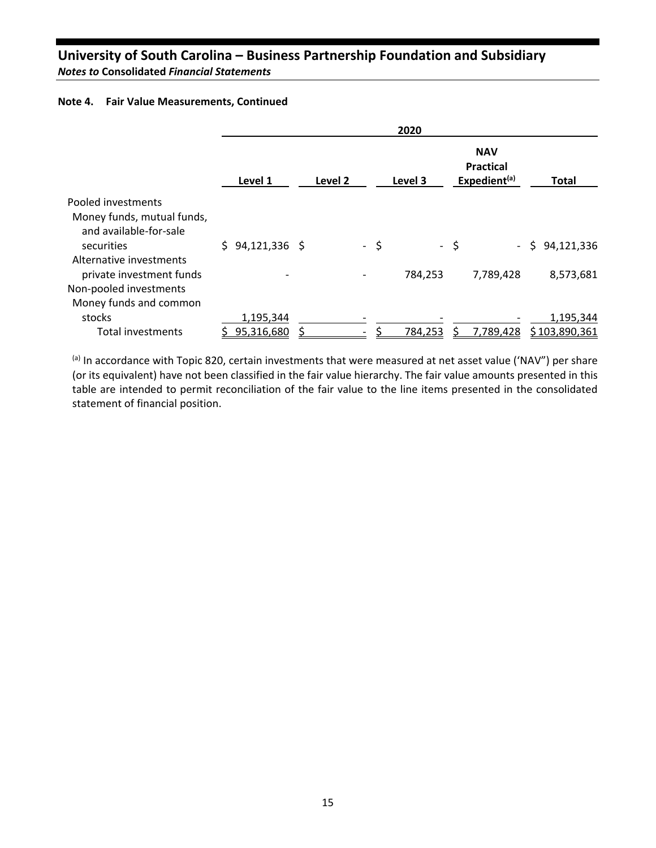# **Note 4. Fair Value Measurements, Continued 2020**

|                            | Level 1       | Level 2 |      | Level 3 | <b>NAV</b><br><b>Practical</b><br>Expedient <sup>(a)</sup> | Total         |
|----------------------------|---------------|---------|------|---------|------------------------------------------------------------|---------------|
| Pooled investments         |               |         |      |         |                                                            |               |
| Money funds, mutual funds, |               |         |      |         |                                                            |               |
| and available-for-sale     |               |         |      |         |                                                            |               |
| securities                 | 94,121,336 \$ |         | - \$ |         | - \$<br>$\overline{\phantom{a}}$                           | \$94,121,336  |
| Alternative investments    |               |         |      |         |                                                            |               |
| private investment funds   |               |         |      | 784,253 | 7,789,428                                                  | 8,573,681     |
| Non-pooled investments     |               |         |      |         |                                                            |               |
| Money funds and common     |               |         |      |         |                                                            |               |
| stocks                     | 1,195,344     |         |      |         |                                                            | 1,195,344     |
| <b>Total investments</b>   | 95,316,680    |         |      | 784.253 | 7,789,428                                                  | \$103,890,361 |

<sup>(a)</sup> In accordance with Topic 820, certain investments that were measured at net asset value ('NAV") per share (or its equivalent) have not been classified in the fair value hierarchy. The fair value amounts presented in this table are intended to permit reconciliation of the fair value to the line items presented in the consolidated statement of financial position.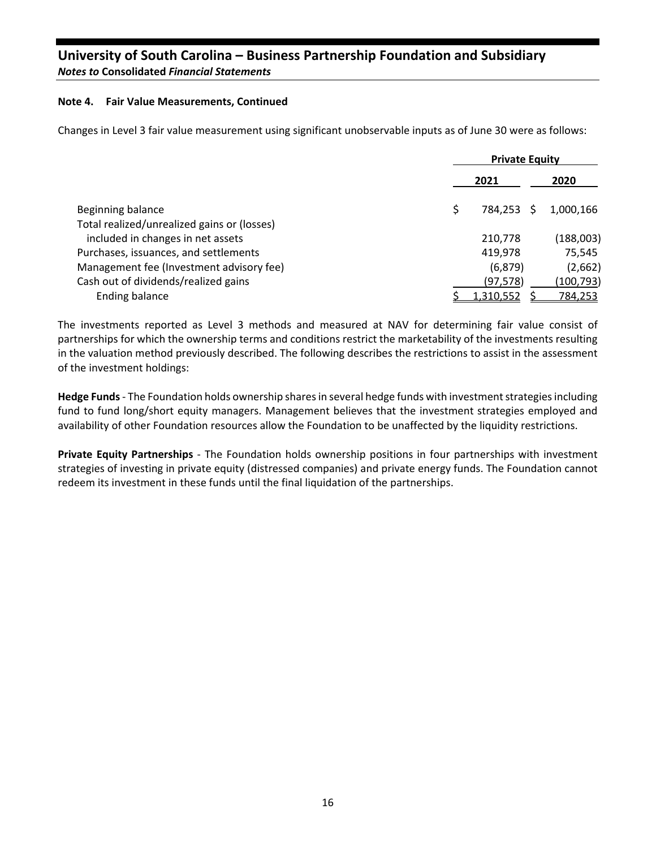#### **Note 4. Fair Value Measurements, Continued**

Changes in Level 3 fair value measurement using significant unobservable inputs as of June 30 were as follows:

|                                             | <b>Private Equity</b> |           |  |                |
|---------------------------------------------|-----------------------|-----------|--|----------------|
|                                             |                       | 2021      |  | 2020           |
| Beginning balance                           |                       | 784.253   |  | 1,000,166      |
| Total realized/unrealized gains or (losses) |                       |           |  |                |
| included in changes in net assets           |                       | 210,778   |  | (188,003)      |
| Purchases, issuances, and settlements       |                       | 419,978   |  | 75,545         |
| Management fee (Investment advisory fee)    |                       | (6, 879)  |  | (2,662)        |
| Cash out of dividends/realized gains        |                       | (97, 578) |  | (100,793)      |
| <b>Ending balance</b>                       |                       | 1,310,552 |  | <u>784,253</u> |

 The investments reported as Level 3 methods and measured at NAV for determining fair value consist of partnerships for which the ownership terms and conditions restrict the marketability of the investments resulting in the valuation method previously described. The following describes the restrictions to assist in the assessment of the investment holdings:

Hedge Funds - The Foundation holds ownership shares in several hedge funds with investment strategies including fund to fund long/short equity managers. Management believes that the investment strategies employed and availability of other Foundation resources allow the Foundation to be unaffected by the liquidity restrictions.

 **Private Equity Partnerships** ‐ The Foundation holds ownership positions in four partnerships with investment strategies of investing in private equity (distressed companies) and private energy funds. The Foundation cannot redeem its investment in these funds until the final liquidation of the partnerships.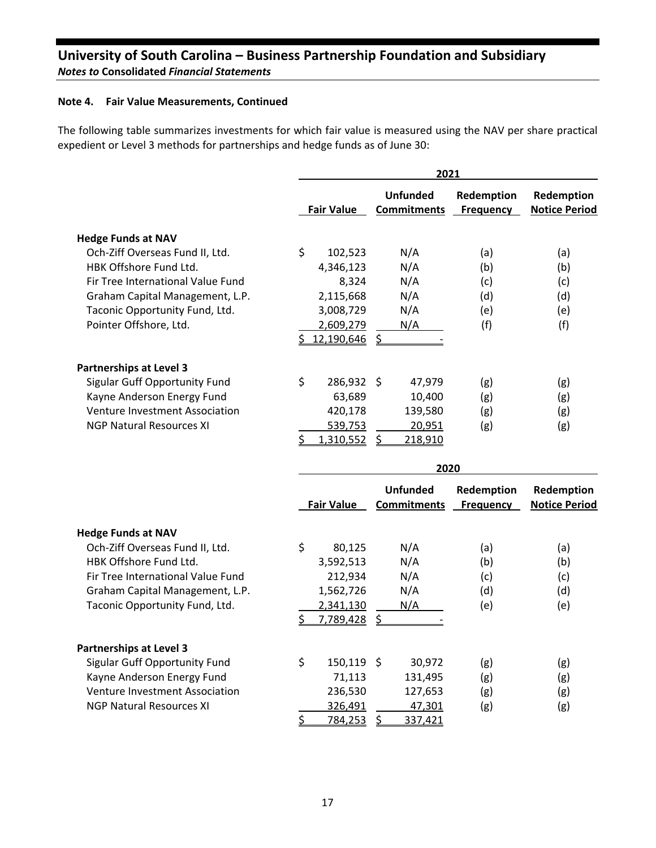#### **Note 4. Fair Value Measurements, Continued**

 The following table summarizes investments for which fair value is measured using the NAV per share practical expedient or Level 3 methods for partnerships and hedge funds as of June 30:

|                                   | 2021 |                   |                                       |                                |                                    |  |
|-----------------------------------|------|-------------------|---------------------------------------|--------------------------------|------------------------------------|--|
|                                   |      | <b>Fair Value</b> | <b>Unfunded</b><br><b>Commitments</b> | Redemption<br><b>Frequency</b> | Redemption<br><b>Notice Period</b> |  |
| <b>Hedge Funds at NAV</b>         |      |                   |                                       |                                |                                    |  |
| Och-Ziff Overseas Fund II, Ltd.   | \$   | 102,523           | N/A                                   | (a)                            | (a)                                |  |
| HBK Offshore Fund Ltd.            |      | 4,346,123         | N/A                                   | (b)                            | (b)                                |  |
| Fir Tree International Value Fund |      | 8,324             | N/A                                   | (c)                            | (c)                                |  |
| Graham Capital Management, L.P.   |      | 2,115,668         | N/A                                   | (d)                            | (d)                                |  |
| Taconic Opportunity Fund, Ltd.    |      | 3,008,729         | N/A                                   | (e)                            | (e)                                |  |
| Pointer Offshore, Ltd.            |      | 2,609,279         | N/A                                   | (f)                            | (f)                                |  |
|                                   |      | 12,190,646        | $\frac{1}{2}$                         |                                |                                    |  |
| <b>Partnerships at Level 3</b>    |      |                   |                                       |                                |                                    |  |
| Sigular Guff Opportunity Fund     | \$   | 286,932 \$        | 47,979                                | (g)                            | (g)                                |  |
| Kayne Anderson Energy Fund        |      | 63,689            | 10,400                                | (g)                            | (g)                                |  |
| Venture Investment Association    |      | 420,178           | 139,580                               | (g)                            | (g)                                |  |
| <b>NGP Natural Resources XI</b>   |      | 539,753           | 20,951                                | (g)                            | (g)                                |  |
|                                   |      | 1,310,552         | $\overline{\mathsf{S}}$<br>218,910    |                                |                                    |  |
|                                   |      |                   |                                       | 2020                           |                                    |  |
|                                   |      |                   | <b>Unfunded</b>                       | Redemption                     | Redemption                         |  |
|                                   |      | <b>Fair Value</b> | <b>Commitments</b>                    | <b>Frequency</b>               | <b>Notice Period</b>               |  |
| <b>Hedge Funds at NAV</b>         |      |                   |                                       |                                |                                    |  |
| Och-Ziff Overseas Fund II, Ltd.   | \$   | 80,125            | N/A                                   | (a)                            | (a)                                |  |
| HBK Offshore Fund Ltd.            |      | 3,592,513         | N/A                                   | (b)                            | (b)                                |  |
| Fir Tree International Value Fund |      | 212,934           | N/A                                   | (c)                            | (c)                                |  |
| Graham Capital Management, L.P.   |      | 1,562,726         | N/A                                   | (d)                            | (d)                                |  |
| Taconic Opportunity Fund, Ltd.    |      | 2,341,130         | N/A                                   | (e)                            | (e)                                |  |
|                                   |      | 7,789,428         | $\frac{1}{2}$                         |                                |                                    |  |
| <b>Partnerships at Level 3</b>    |      |                   |                                       |                                |                                    |  |
| Sigular Guff Opportunity Fund     | \$   | 150,119           | -\$<br>30,972                         | (g)                            | (g)                                |  |
| Kayne Anderson Energy Fund        |      | 71,113            | 131,495                               | (g)                            | (g)                                |  |
| Venture Investment Association    |      | 236,530           | 127,653                               | (g)                            | (g)                                |  |
| <b>NGP Natural Resources XI</b>   |      | 326,491           | 47,301                                | (g)                            | (g)                                |  |
|                                   | \$   | 784,253           | \$<br>337,421                         |                                |                                    |  |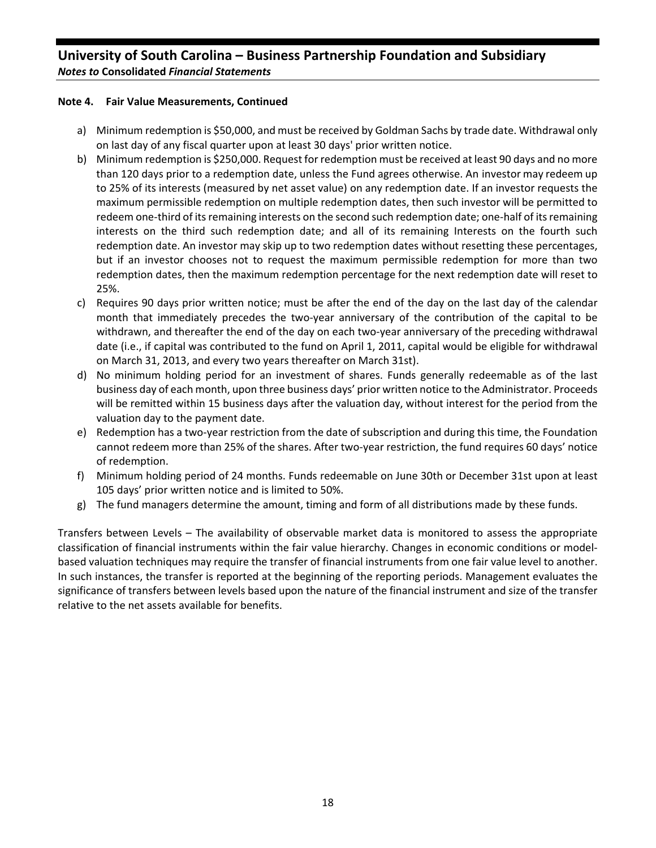#### **Note 4. Fair Value Measurements, Continued**

- a) Minimum redemption is \$50,000, and must be received by Goldman Sachs by trade date. Withdrawal only on last day of any fiscal quarter upon at least 30 days' prior written notice.
- b) Minimum redemption is \$250,000. Request for redemption must be received at least 90 days and no more than 120 days prior to a redemption date, unless the Fund agrees otherwise. An investor may redeem up to 25% of its interests (measured by net asset value) on any redemption date. If an investor requests the maximum permissible redemption on multiple redemption dates, then such investor will be permitted to redeem one-third of its remaining interests on the second such redemption date; one-half of its remaining interests on the third such redemption date; and all of its remaining Interests on the fourth such redemption date. An investor may skip up to two redemption dates without resetting these percentages, but if an investor chooses not to request the maximum permissible redemption for more than two redemption dates, then the maximum redemption percentage for the next redemption date will reset to 25%.
- c) Requires 90 days prior written notice; must be after the end of the day on the last day of the calendar month that immediately precedes the two‐year anniversary of the contribution of the capital to be withdrawn, and thereafter the end of the day on each two‐year anniversary of the preceding withdrawal date (i.e., if capital was contributed to the fund on April 1, 2011, capital would be eligible for withdrawal on March 31, 2013, and every two years thereafter on March 31st).
- d) No minimum holding period for an investment of shares. Funds generally redeemable as of the last business day of each month, upon three business days' prior written notice to the Administrator. Proceeds will be remitted within 15 business days after the valuation day, without interest for the period from the valuation day to the payment date.
- e) Redemption has a two‐year restriction from the date of subscription and during this time, the Foundation cannot redeem more than 25% of the shares. After two‐year restriction, the fund requires 60 days' notice of redemption.
- f) Minimum holding period of 24 months. Funds redeemable on June 30th or December 31st upon at least 105 days' prior written notice and is limited to 50%.
- g) The fund managers determine the amount, timing and form of all distributions made by these funds.

 Transfers between Levels – The availability of observable market data is monitored to assess the appropriate classification of financial instruments within the fair value hierarchy. Changes in economic conditions or model‐ based valuation techniques may require the transfer of financial instruments from one fair value level to another. In such instances, the transfer is reported at the beginning of the reporting periods. Management evaluates the significance of transfers between levels based upon the nature of the financial instrument and size of the transfer relative to the net assets available for benefits.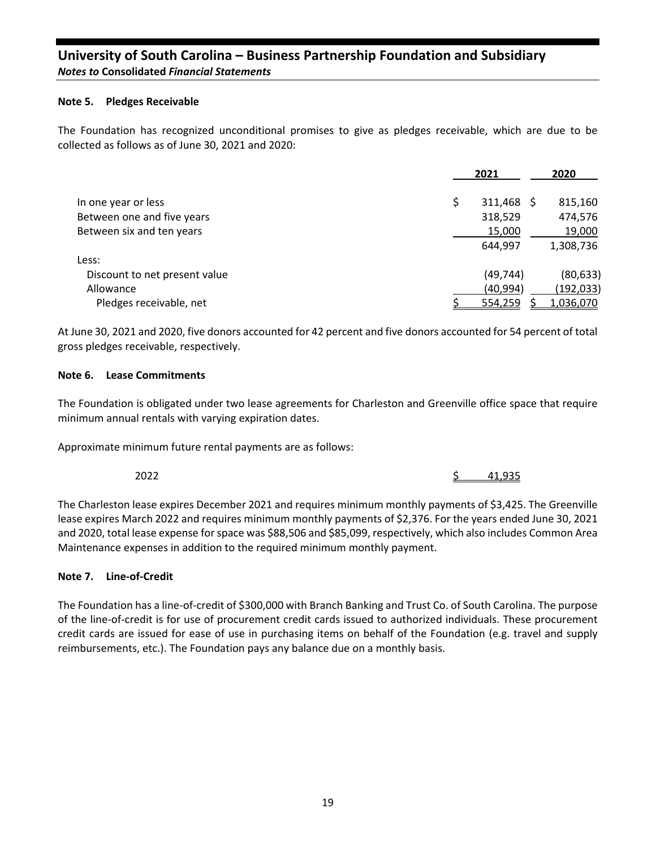#### **Note 5. Pledges Receivable**

The Foundation has recognized unconditional promises to give as pledges receivable, which are due to be collected as follows as of June 30, 2021 and 2020:

|                               | 2021             | 2020       |
|-------------------------------|------------------|------------|
| In one year or less           | \$<br>311,468 \$ | 815,160    |
| Between one and five years    | 318,529          | 474,576    |
| Between six and ten years     | 15,000           | 19,000     |
|                               | 644.997          | 1,308,736  |
| Less:                         |                  |            |
| Discount to net present value | (49, 744)        | (80, 633)  |
| Allowance                     | (40,994)         | (192, 033) |
| Pledges receivable, net       | 554,259          | 1,036,070  |

 At June 30, 2021 and 2020, five donors accounted for 42 percent and five donors accounted for 54 percent of total gross pledges receivable, respectively.

#### **Note 6. Lease Commitments**

 The Foundation is obligated under two lease agreements for Charleston and Greenville office space that require minimum annual rentals with varying expiration dates.

Approximate minimum future rental payments are as follows:

#### 2022 **b**  $\frac{5}{2}$  41,935

 The Charleston lease expires December 2021 and requires minimum monthly payments of \$3,425. The Greenville lease expires March 2022 and requires minimum monthly payments of \$2,376. For the years ended June 30, 2021 and 2020, total lease expense forspace was \$88,506 and \$85,099, respectively, which also includes Common Area Maintenance expenses in addition to the required minimum monthly payment.

#### **Note 7. Line‐of‐Credit**

 The Foundation has a line‐of‐credit of \$300,000 with Branch Banking and Trust Co. of South Carolina. The purpose of the line‐of‐credit is for use of procurement credit cards issued to authorized individuals. These procurement credit cards are issued for ease of use in purchasing items on behalf of the Foundation (e.g. travel and supply reimbursements, etc.). The Foundation pays any balance due on a monthly basis.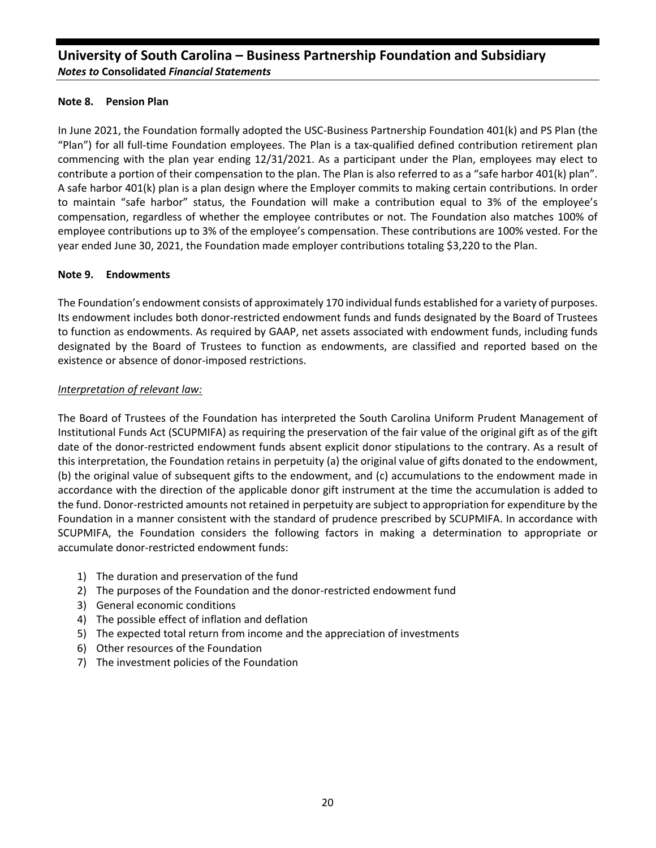#### **Note 8. Pension Plan**

 In June 2021, the Foundation formally adopted the USC‐Business Partnership Foundation 401(k) and PS Plan (the "Plan") for all full‐time Foundation employees. The Plan is a tax‐qualified defined contribution retirement plan commencing with the plan year ending 12/31/2021. As a participant under the Plan, employees may elect to contribute a portion of their compensation to the plan. The Plan is also referred to as a "safe harbor 401(k) plan". A safe harbor 401(k) plan is a plan design where the Employer commits to making certain contributions. In order to maintain "safe harbor" status, the Foundation will make a contribution equal to 3% of the employee's compensation, regardless of whether the employee contributes or not. The Foundation also matches 100% of employee contributions up to 3% of the employee's compensation. These contributions are 100% vested. For the year ended June 30, 2021, the Foundation made employer contributions totaling \$3,220 to the Plan.

#### **Note 9. Endowments**

 The Foundation's endowment consists of approximately 170 individual funds established for a variety of purposes. Its endowment includes both donor‐restricted endowment funds and funds designated by the Board of Trustees to function as endowments. As required by GAAP, net assets associated with endowment funds, including funds designated by the Board of Trustees to function as endowments, are classified and reported based on the existence or absence of donor‐imposed restrictions.

#### *Interpretation of relevant law:*

The Board of Trustees of the Foundation has interpreted the South Carolina Uniform Prudent Management of Institutional Funds Act (SCUPMIFA) as requiring the preservation of the fair value of the original gift as of the gift date of the donor‐restricted endowment funds absent explicit donor stipulations to the contrary. As a result of this interpretation, the Foundation retains in perpetuity (a) the original value of gifts donated to the endowment, (b) the original value of subsequent gifts to the endowment, and (c) accumulations to the endowment made in accordance with the direction of the applicable donor gift instrument at the time the accumulation is added to the fund. Donor‐restricted amounts not retained in perpetuity are subject to appropriation for expenditure by the Foundation in a manner consistent with the standard of prudence prescribed by SCUPMIFA. In accordance with SCUPMIFA, the Foundation considers the following factors in making a determination to appropriate or accumulate donor‐restricted endowment funds:

- 1) The duration and preservation of the fund
- 2) The purposes of the Foundation and the donor-restricted endowment fund
- 3) General economic conditions
- 4) The possible effect of inflation and deflation
- 5) The expected total return from income and the appreciation of investments
- 6) Other resources of the Foundation
- 7) The investment policies of the Foundation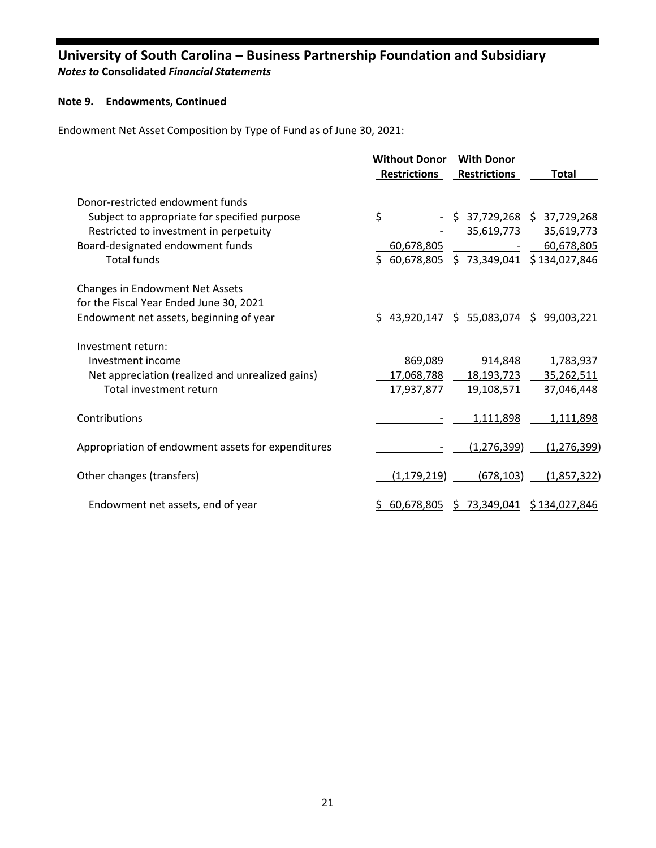#### **Note 9. Endowments, Continued**

Endowment Net Asset Composition by Type of Fund as of June 30, 2021:

|                                                    | <b>Without Donor</b><br><b>Restrictions</b> | <b>With Donor</b><br><b>Restrictions</b> | <b>Total</b>             |
|----------------------------------------------------|---------------------------------------------|------------------------------------------|--------------------------|
| Donor-restricted endowment funds                   |                                             |                                          |                          |
| Subject to appropriate for specified purpose       | \$<br>$ \,$                                 | S.                                       | 37,729,268 \$ 37,729,268 |
| Restricted to investment in perpetuity             |                                             | 35,619,773                               | 35,619,773               |
| Board-designated endowment funds                   | 60,678,805                                  |                                          | 60,678,805               |
| <b>Total funds</b>                                 | 60,678,805                                  | \$73,349,041                             | \$134,027,846            |
| Changes in Endowment Net Assets                    |                                             |                                          |                          |
| for the Fiscal Year Ended June 30, 2021            |                                             |                                          |                          |
| Endowment net assets, beginning of year            |                                             | \$43,920,147 \$55,083,074 \$99,003,221   |                          |
| Investment return:                                 |                                             |                                          |                          |
| Investment income                                  | 869,089                                     | 914,848                                  | 1,783,937                |
| Net appreciation (realized and unrealized gains)   | 17,068,788                                  | 18,193,723                               | 35,262,511               |
| Total investment return                            | 17,937,877                                  | 19,108,571                               | 37,046,448               |
| Contributions                                      |                                             | 1,111,898                                | 1,111,898                |
| Appropriation of endowment assets for expenditures |                                             | (1, 276, 399)                            | (1, 276, 399)            |
| Other changes (transfers)                          | (1, 179, 219)                               | (678, 103)                               | (1,857,322)              |
| Endowment net assets, end of year                  | 60,678,805                                  | 73,349,041                               | \$134,027,846            |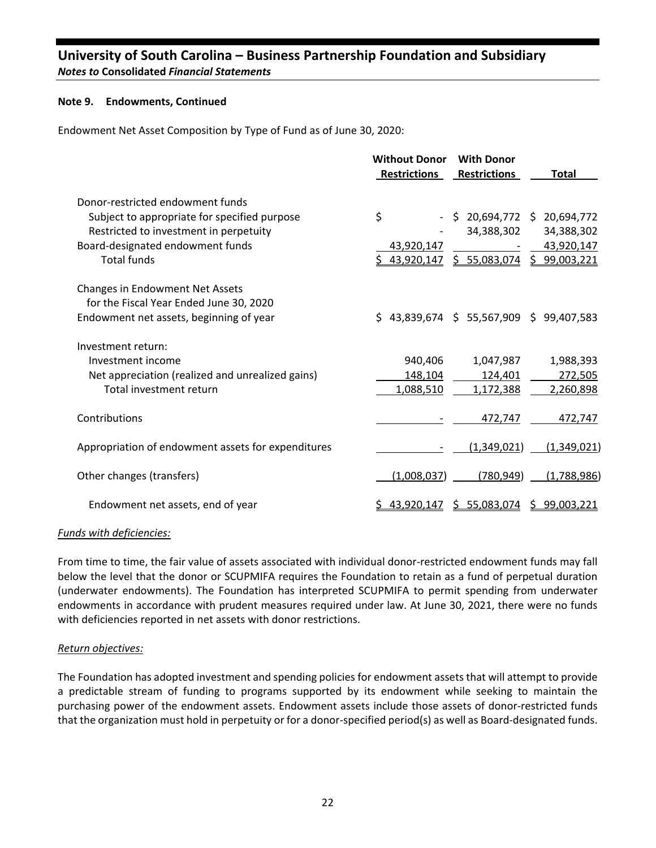#### **Note 9. Endowments, Continued**

Endowment Net Asset Composition by Type of Fund as of June 30, 2020:

| <b>Without Donor</b><br><b>Restrictions</b> | <b>With Donor</b><br><b>Restrictions</b> | <b>Total</b>                                |
|---------------------------------------------|------------------------------------------|---------------------------------------------|
|                                             |                                          |                                             |
| \$                                          | 20,694,772<br>S.                         | 20,694,772<br>-S                            |
|                                             | 34,388,302                               | 34,388,302                                  |
| 43,920,147                                  |                                          | 43,920,147                                  |
| 43,920,147                                  | \$5,083,074                              | 99,003,221<br>\$                            |
|                                             |                                          |                                             |
|                                             |                                          |                                             |
|                                             |                                          |                                             |
|                                             |                                          |                                             |
| 940,406                                     | 1,047,987                                | 1,988,393                                   |
| 148,104                                     | 124,401                                  | 272,505                                     |
| 1,088,510                                   | 1,172,388                                | 2,260,898                                   |
|                                             | 472,747                                  | 472,747                                     |
|                                             | (1,349,021)                              | (1,349,021)                                 |
| (1,008,037)                                 | (780, 949)                               | (1,788,986)                                 |
| 43,920,147                                  | \$5,083,074                              | \$99,003,221                                |
|                                             |                                          | $$43,839,674$$ $$55,567,909$$ $$99,407,583$ |

#### *Funds with deficiencies:*

 From time to time, the fair value of assets associated with individual donor‐restricted endowment funds may fall below the level that the donor or SCUPMIFA requires the Foundation to retain as a fund of perpetual duration (underwater endowments). The Foundation has interpreted SCUPMIFA to permit spending from underwater endowments in accordance with prudent measures required under law. At June 30, 2021, there were no funds with deficiencies reported in net assets with donor restrictions.

#### *Return objectives:*

 The Foundation has adopted investment and spending policies for endowment assets that will attempt to provide a predictable stream of funding to programs supported by its endowment while seeking to maintain the purchasing power of the endowment assets. Endowment assets include those assets of donor‐restricted funds that the organization must hold in perpetuity or for a donor‐specified period(s) as well as Board‐designated funds.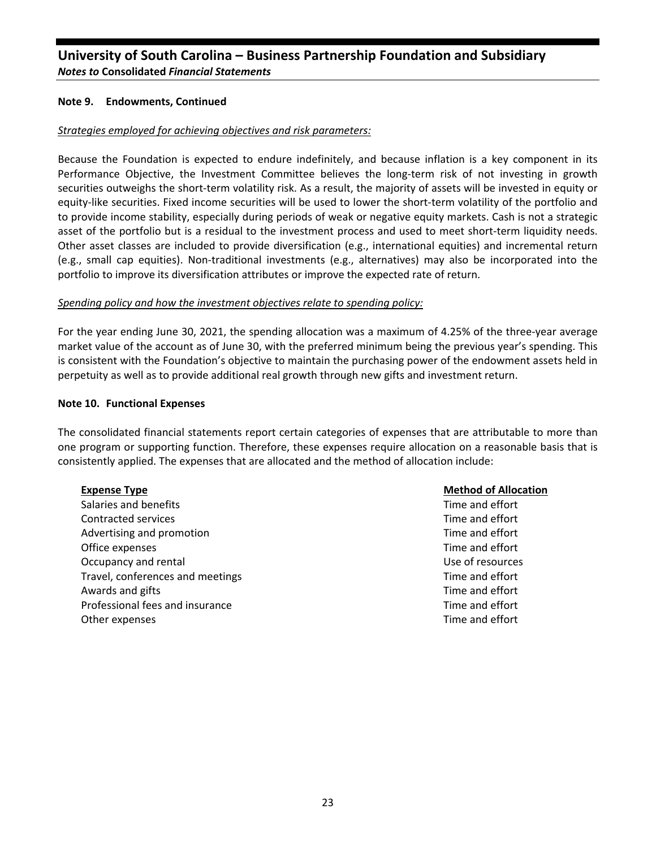#### **Note 9. Endowments, Continued**

#### *Strategies employed for achieving objectives and risk parameters:*

 Because the Foundation is expected to endure indefinitely, and because inflation is a key component in its Performance Objective, the Investment Committee believes the long-term risk of not investing in growth securities outweighs the short‐term volatility risk. As a result, the majority of assets will be invested in equity or equity‐like securities. Fixed income securities will be used to lower the short‐term volatility of the portfolio and to provide income stability, especially during periods of weak or negative equity markets. Cash is not a strategic asset of the portfolio but is a residual to the investment process and used to meet short‐term liquidity needs. Other asset classes are included to provide diversification (e.g., international equities) and incremental return (e.g., small cap equities). Non‐traditional investments (e.g., alternatives) may also be incorporated into the portfolio to improve its diversification attributes or improve the expected rate of return.

#### *Spending policy and how the investment objectives relate to spending policy:*

 For the year ending June 30, 2021, the spending allocation was a maximum of 4.25% of the three‐year average market value of the account as of June 30, with the preferred minimum being the previous year's spending. This is consistent with the Foundation's objective to maintain the purchasing power of the endowment assets held in perpetuity as well as to provide additional real growth through new gifts and investment return.

#### **Note 10. Functional Expenses**

 The consolidated financial statements report certain categories of expenses that are attributable to more than one program or supporting function. Therefore, these expenses require allocation on a reasonable basis that is consistently applied. The expenses that are allocated and the method of allocation include:

| <b>Expense Type</b>              | <b>Method of Allocation</b> |
|----------------------------------|-----------------------------|
| Salaries and benefits            | Time and effort             |
| Contracted services              | Time and effort             |
| Advertising and promotion        | Time and effort             |
| Office expenses                  | Time and effort             |
| Occupancy and rental             | Use of resources            |
| Travel, conferences and meetings | Time and effort             |
| Awards and gifts                 | Time and effort             |
| Professional fees and insurance  | Time and effort             |
| Other expenses                   | Time and effort             |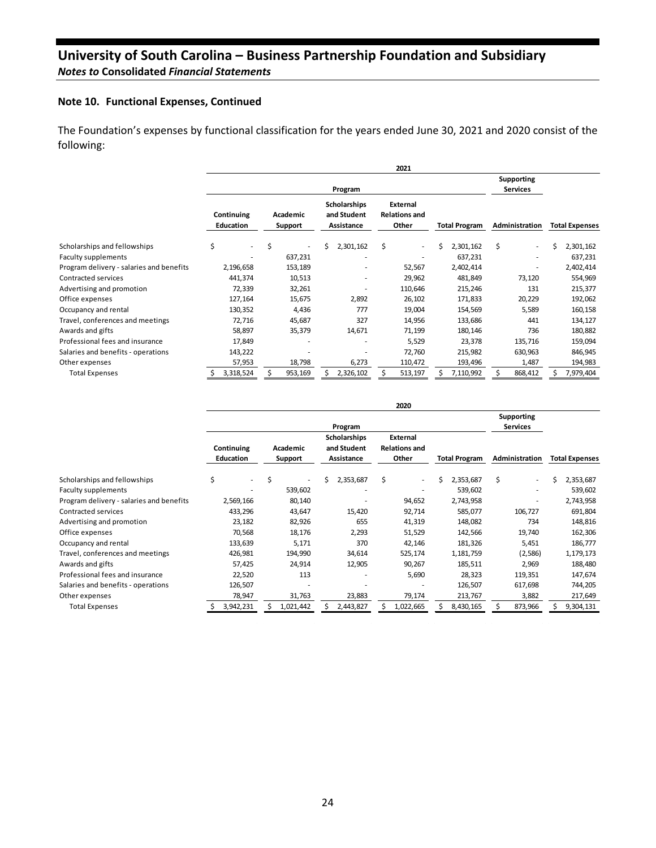### **Note 10. Functional Expenses, Continued**

The Foundation's expenses by functional classification for the years ended June 30, 2021 and 2020 consist of the following:

|                                          |                                |                     |                                           | 2021                                             |                               |                |                       |
|------------------------------------------|--------------------------------|---------------------|-------------------------------------------|--------------------------------------------------|-------------------------------|----------------|-----------------------|
|                                          | Program                        |                     |                                           |                                                  | Supporting<br><b>Services</b> |                |                       |
|                                          | Continuing<br><b>Education</b> | Academic<br>Support | Scholarships<br>and Student<br>Assistance | <b>External</b><br><b>Relations and</b><br>Other | <b>Total Program</b>          | Administration | <b>Total Expenses</b> |
| Scholarships and fellowships             | \$<br>$\sim$                   | \$<br>٠             | Ś.<br>2,301,162                           | Ŝ<br>٠.                                          | 2,301,162<br>ς                | \$<br>-        | Ś<br>2,301,162        |
| <b>Faculty supplements</b>               |                                | 637,231             | ٠                                         |                                                  | 637,231                       | ٠              | 637,231               |
| Program delivery - salaries and benefits | 2,196,658                      | 153,189             | ٠                                         | 52,567                                           | 2,402,414                     |                | 2,402,414             |
| Contracted services                      | 441,374                        | 10,513              | ٠                                         | 29,962                                           | 481,849                       | 73,120         | 554,969               |
| Advertising and promotion                | 72,339                         | 32,261              | ٠                                         | 110,646                                          | 215,246                       | 131            | 215,377               |
| Office expenses                          | 127,164                        | 15,675              | 2,892                                     | 26,102                                           | 171,833                       | 20,229         | 192,062               |
| Occupancy and rental                     | 130,352                        | 4,436               | 777                                       | 19,004                                           | 154,569                       | 5,589          | 160,158               |
| Travel, conferences and meetings         | 72,716                         | 45,687              | 327                                       | 14,956                                           | 133,686                       | 441            | 134,127               |
| Awards and gifts                         | 58,897                         | 35,379              | 14,671                                    | 71,199                                           | 180,146                       | 736            | 180,882               |
| Professional fees and insurance          | 17,849                         |                     | ۰                                         | 5,529                                            | 23,378                        | 135,716        | 159,094               |
| Salaries and benefits - operations       | 143,222                        |                     |                                           | 72,760                                           | 215,982                       | 630,963        | 846,945               |
| Other expenses                           | 57,953                         | 18,798              | 6,273                                     | 110,472                                          | 193,496                       | 1,487          | 194,983               |
| <b>Total Expenses</b>                    | 3,318,524                      | 953,169             | 2,326,102                                 | 513,197                                          | 7,110,992                     | 868,412        | 7,979,404             |

|                                          |                                |                     |                                           | 2020                                             |                      |                               |                       |
|------------------------------------------|--------------------------------|---------------------|-------------------------------------------|--------------------------------------------------|----------------------|-------------------------------|-----------------------|
|                                          |                                |                     | Program                                   |                                                  |                      | Supporting<br><b>Services</b> |                       |
|                                          | Continuing<br>Education        | Academic<br>Support | Scholarships<br>and Student<br>Assistance | <b>External</b><br><b>Relations and</b><br>Other | <b>Total Program</b> | Administration                | <b>Total Expenses</b> |
| Scholarships and fellowships             | \$<br>$\overline{\phantom{a}}$ | Ś<br>٠              | Ś.<br>2,353,687                           | Ś<br>٠                                           | Ś<br>2,353,687       | Ś<br>٠                        | Ś.<br>2,353,687       |
| <b>Faculty supplements</b>               |                                | 539,602             |                                           |                                                  | 539,602              |                               | 539,602               |
| Program delivery - salaries and benefits | 2,569,166                      | 80,140              |                                           | 94,652                                           | 2,743,958            | ٠                             | 2,743,958             |
| Contracted services                      | 433,296                        | 43,647              | 15,420                                    | 92,714                                           | 585,077              | 106,727                       | 691,804               |
| Advertising and promotion                | 23,182                         | 82,926              | 655                                       | 41,319                                           | 148,082              | 734                           | 148,816               |
| Office expenses                          | 70,568                         | 18,176              | 2,293                                     | 51,529                                           | 142,566              | 19,740                        | 162,306               |
| Occupancy and rental                     | 133,639                        | 5,171               | 370                                       | 42,146                                           | 181,326              | 5,451                         | 186,777               |
| Travel, conferences and meetings         | 426,981                        | 194,990             | 34,614                                    | 525,174                                          | 1,181,759            | (2,586)                       | 1,179,173             |
| Awards and gifts                         | 57,425                         | 24,914              | 12,905                                    | 90,267                                           | 185,511              | 2,969                         | 188,480               |
| Professional fees and insurance          | 22,520                         | 113                 |                                           | 5,690                                            | 28,323               | 119,351                       | 147,674               |
| Salaries and benefits - operations       | 126,507                        |                     |                                           |                                                  | 126,507              | 617,698                       | 744,205               |
| Other expenses                           | 78,947                         | 31,763              | 23,883                                    | 79,174                                           | 213,767              | 3,882                         | 217,649               |
| <b>Total Expenses</b>                    | 3,942,231                      | 1,021,442           | 2,443,827                                 | 1,022,665                                        | 8,430,165            | 873,966                       | 9,304,131             |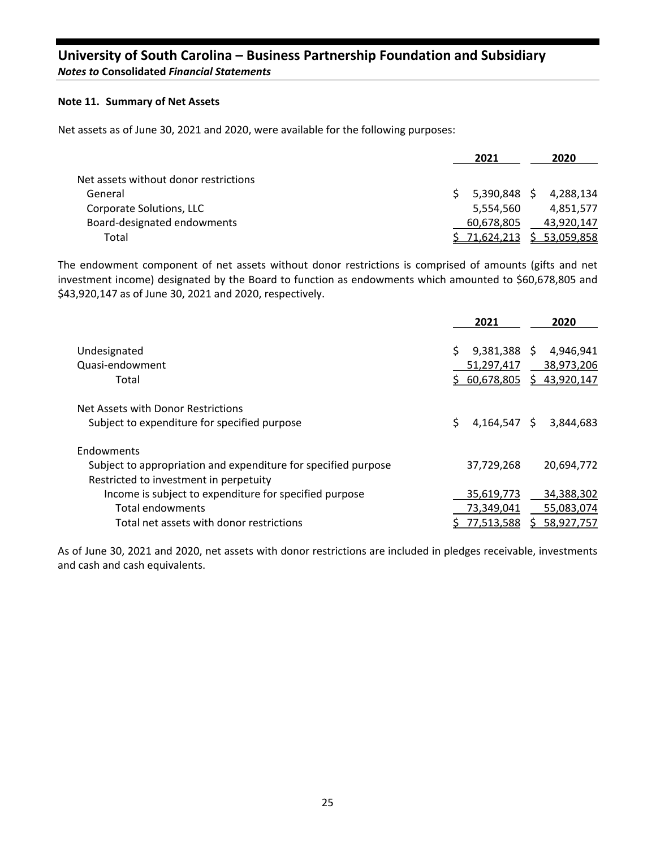#### **Note 11. Summary of Net Assets**

Net assets as of June 30, 2021 and 2020, were available for the following purposes:

|                                       | 2021 |              | 2020 |                        |
|---------------------------------------|------|--------------|------|------------------------|
| Net assets without donor restrictions |      |              |      |                        |
| General                               |      |              |      | 5,390,848 \$ 4,288,134 |
| Corporate Solutions, LLC              |      | 5.554.560    |      | 4,851,577              |
| Board-designated endowments           |      | 60,678,805   |      | 43.920.147             |
| Total                                 |      | \$71,624,213 |      | \$53,059,858           |

 The endowment component of net assets without donor restrictions is comprised of amounts (gifts and net investment income) designated by the Board to function as endowments which amounted to \$60,678,805 and \$43,920,147 as of June 30, 2021 and 2020, respectively.

|                                                                |    | 2021        | 2020         |
|----------------------------------------------------------------|----|-------------|--------------|
|                                                                |    |             |              |
| Undesignated                                                   | Ś. | 9,381,388   | 4,946,941    |
| Quasi-endowment                                                |    | 51,297,417  | 38,973,206   |
| Total                                                          |    | 60,678,805  | \$43,920,147 |
|                                                                |    |             |              |
| Net Assets with Donor Restrictions                             |    |             |              |
| Subject to expenditure for specified purpose                   | \$ | 4.164.547 S | 3.844.683    |
|                                                                |    |             |              |
| Endowments                                                     |    |             |              |
| Subject to appropriation and expenditure for specified purpose |    | 37,729,268  | 20,694,772   |
| Restricted to investment in perpetuity                         |    |             |              |
| Income is subject to expenditure for specified purpose         |    | 35,619,773  | 34,388,302   |
| Total endowments                                               |    | 73,349,041  | 55,083,074   |
| Total net assets with donor restrictions                       |    | 77,513,588  | 58,927,757   |

As of June 30, 2021 and 2020, net assets with donor restrictions are included in pledges receivable, investments and cash and cash equivalents.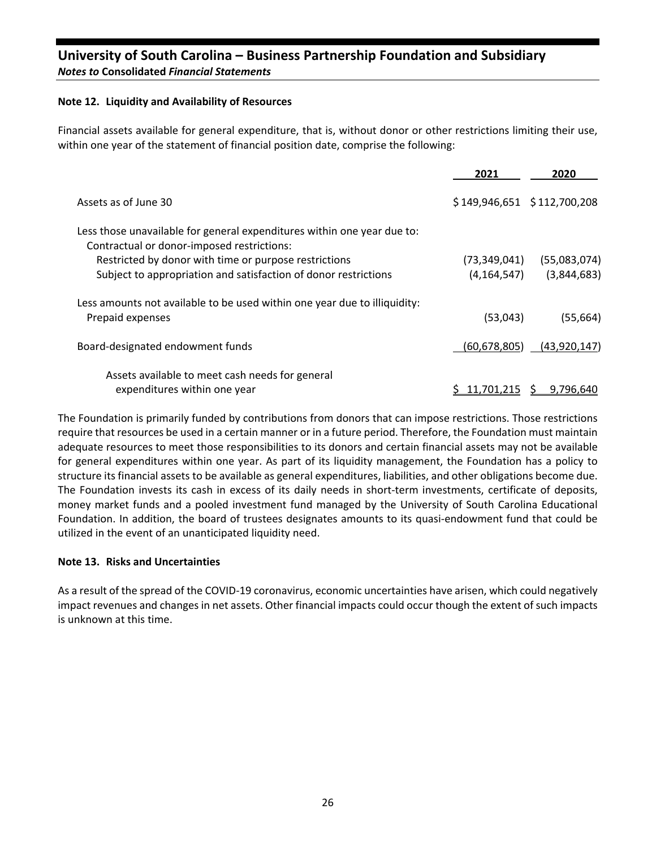#### **Note 12. Liquidity and Availability of Resources**

 Financial assets available for general expenditure, that is, without donor or other restrictions limiting their use, within one year of the statement of financial position date, comprise the following:

|                                                                                                                       | 2021           | 2020                        |
|-----------------------------------------------------------------------------------------------------------------------|----------------|-----------------------------|
| Assets as of June 30                                                                                                  |                | \$149,946,651 \$112,700,208 |
| Less those unavailable for general expenditures within one year due to:<br>Contractual or donor-imposed restrictions: |                |                             |
| Restricted by donor with time or purpose restrictions                                                                 | (73, 349, 041) | (55,083,074)                |
| Subject to appropriation and satisfaction of donor restrictions                                                       | (4, 164, 547)  | (3,844,683)                 |
| Less amounts not available to be used within one year due to illiquidity:<br>Prepaid expenses                         | (53,043)       | (55, 664)                   |
| Board-designated endowment funds                                                                                      | (60, 678, 805) | (43, 920, 147)              |
| Assets available to meet cash needs for general<br>expenditures within one year                                       | 11,701,215     | 9,796,640                   |

 The Foundation is primarily funded by contributions from donors that can impose restrictions. Those restrictions require that resources be used in a certain manner or in a future period. Therefore, the Foundation must maintain adequate resources to meet those responsibilities to its donors and certain financial assets may not be available for general expenditures within one year. As part of its liquidity management, the Foundation has a policy to structure its financial assets to be available as general expenditures, liabilities, and other obligations become due. The Foundation invests its cash in excess of its daily needs in short‐term investments, certificate of deposits, money market funds and a pooled investment fund managed by the University of South Carolina Educational Foundation. In addition, the board of trustees designates amounts to its quasi-endowment fund that could be utilized in the event of an unanticipated liquidity need.

#### **Note 13. Risks and Uncertainties**

 As a result of the spread of the COVID‐19 coronavirus, economic uncertainties have arisen, which could negatively impact revenues and changes in net assets. Other financial impacts could occur though the extent of such impacts is unknown at this time.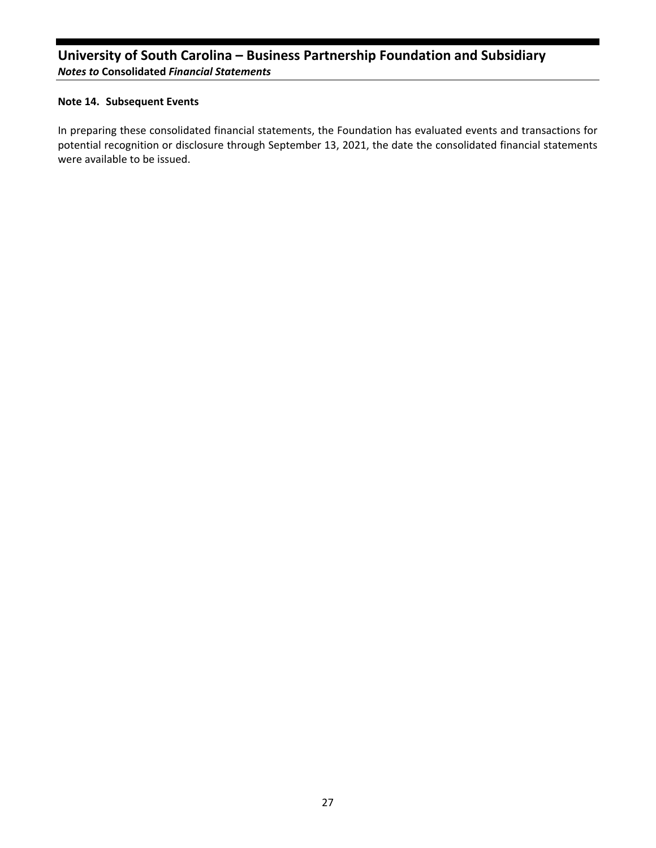#### **Note 14. Subsequent Events**

 In preparing these consolidated financial statements, the Foundation has evaluated events and transactions for potential recognition or disclosure through September 13, 2021, the date the consolidated financial statements were available to be issued.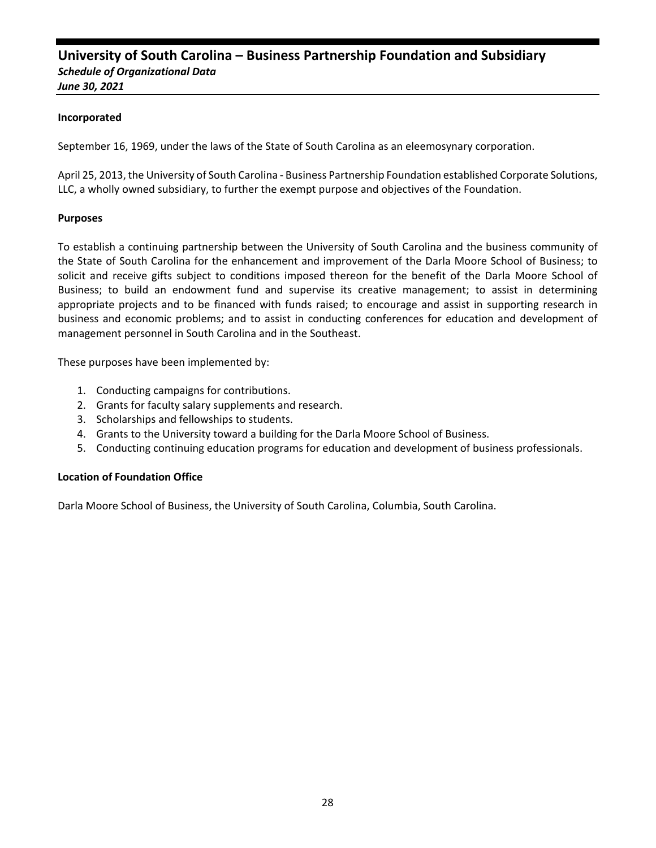# **University of South Carolina – Business Partnership Foundation and Subsidiary**  *Schedule of Organizational Data*

 *June 30, 2021*

#### **Incorporated**

September 16, 1969, under the laws of the State of South Carolina as an eleemosynary corporation.

 April 25, 2013, the University of South Carolina ‐ Business Partnership Foundation established Corporate Solutions, LLC, a wholly owned subsidiary, to further the exempt purpose and objectives of the Foundation.

#### **Purposes**

 To establish a continuing partnership between the University of South Carolina and the business community of the State of South Carolina for the enhancement and improvement of the Darla Moore School of Business; to solicit and receive gifts subject to conditions imposed thereon for the benefit of the Darla Moore School of Business; to build an endowment fund and supervise its creative management; to assist in determining appropriate projects and to be financed with funds raised; to encourage and assist in supporting research in business and economic problems; and to assist in conducting conferences for education and development of management personnel in South Carolina and in the Southeast.

These purposes have been implemented by:

- 1. Conducting campaigns for contributions.
- 2. Grants for faculty salary supplements and research.
- 3. Scholarships and fellowships to students.
- 4. Grants to the University toward a building for the Darla Moore School of Business.
- 5. Conducting continuing education programs for education and development of business professionals.

#### **Location of Foundation Office**

Darla Moore School of Business, the University of South Carolina, Columbia, South Carolina.